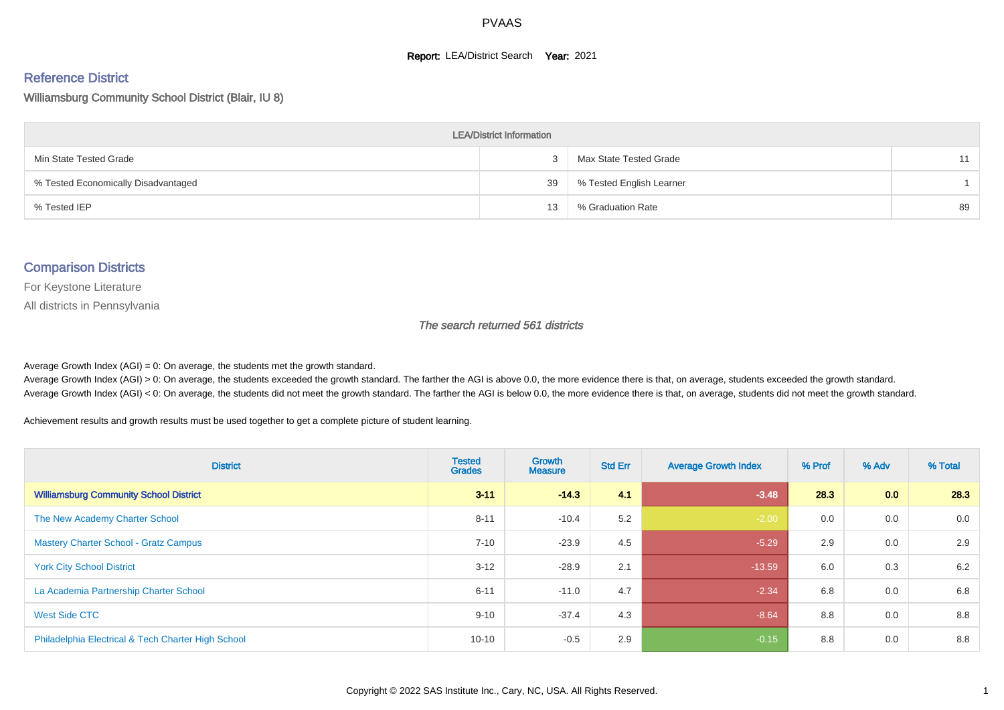#### **Report: LEA/District Search Year: 2021**

# Reference District

Williamsburg Community School District (Blair, IU 8)

| <b>LEA/District Information</b>     |    |                          |    |  |  |  |  |  |  |  |
|-------------------------------------|----|--------------------------|----|--|--|--|--|--|--|--|
| Min State Tested Grade              |    | Max State Tested Grade   | 11 |  |  |  |  |  |  |  |
| % Tested Economically Disadvantaged | 39 | % Tested English Learner |    |  |  |  |  |  |  |  |
| % Tested IEP                        | 13 | % Graduation Rate        | 89 |  |  |  |  |  |  |  |

#### Comparison Districts

For Keystone Literature

All districts in Pennsylvania

The search returned 561 districts

Average Growth Index  $(AGI) = 0$ : On average, the students met the growth standard.

Average Growth Index (AGI) > 0: On average, the students exceeded the growth standard. The farther the AGI is above 0.0, the more evidence there is that, on average, students exceeded the growth standard. Average Growth Index (AGI) < 0: On average, the students did not meet the growth standard. The farther the AGI is below 0.0, the more evidence there is that, on average, students did not meet the growth standard.

Achievement results and growth results must be used together to get a complete picture of student learning.

| <b>District</b>                                    | <b>Tested</b><br><b>Grades</b> | Growth<br><b>Measure</b> | <b>Std Err</b> | <b>Average Growth Index</b> | % Prof | % Adv            | % Total |
|----------------------------------------------------|--------------------------------|--------------------------|----------------|-----------------------------|--------|------------------|---------|
| <b>Williamsburg Community School District</b>      | $3 - 11$                       | $-14.3$                  | 4.1            | $-3.48$                     | 28.3   | 0.0 <sub>1</sub> | 28.3    |
| The New Academy Charter School                     | $8 - 11$                       | $-10.4$                  | 5.2            | $-2.00$                     | 0.0    | 0.0              | 0.0     |
| <b>Mastery Charter School - Gratz Campus</b>       | $7 - 10$                       | $-23.9$                  | 4.5            | $-5.29$                     | 2.9    | 0.0              | 2.9     |
| <b>York City School District</b>                   | $3 - 12$                       | $-28.9$                  | 2.1            | $-13.59$                    | 6.0    | 0.3              | 6.2     |
| La Academia Partnership Charter School             | $6 - 11$                       | $-11.0$                  | 4.7            | $-2.34$                     | 6.8    | 0.0              | 6.8     |
| West Side CTC                                      | $9 - 10$                       | $-37.4$                  | 4.3            | $-8.64$                     | 8.8    | 0.0              | 8.8     |
| Philadelphia Electrical & Tech Charter High School | $10 - 10$                      | $-0.5$                   | 2.9            | $-0.15$                     | 8.8    | 0.0              | 8.8     |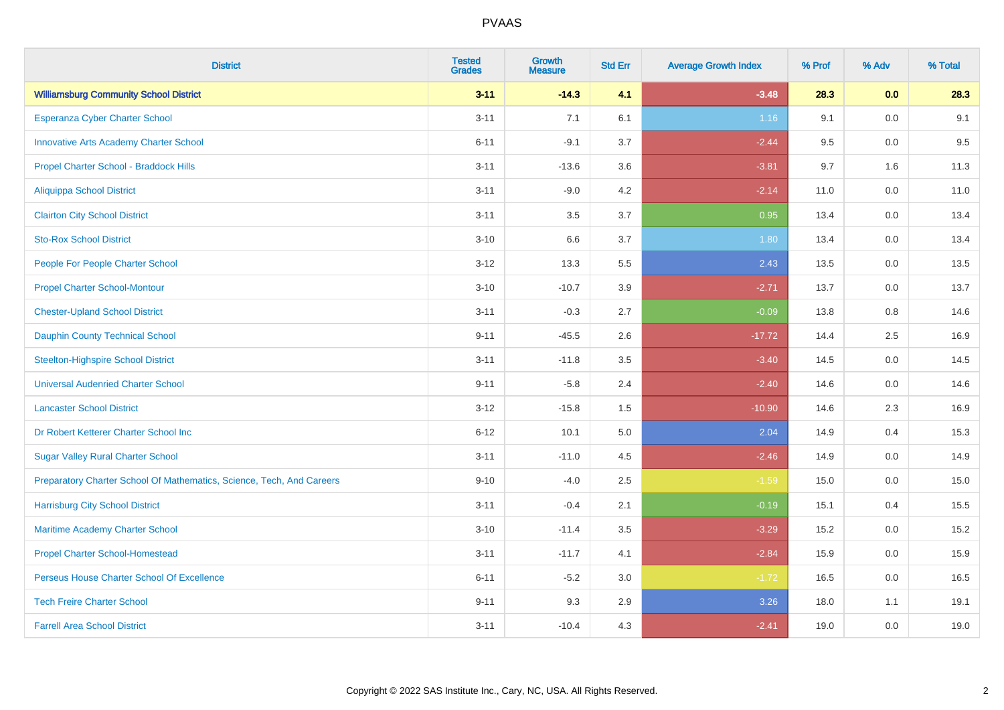| <b>District</b>                                                       | <b>Tested</b><br><b>Grades</b> | <b>Growth</b><br><b>Measure</b> | <b>Std Err</b> | <b>Average Growth Index</b> | % Prof | % Adv | % Total |
|-----------------------------------------------------------------------|--------------------------------|---------------------------------|----------------|-----------------------------|--------|-------|---------|
| <b>Williamsburg Community School District</b>                         | $3 - 11$                       | $-14.3$                         | 4.1            | $-3.48$                     | 28.3   | 0.0   | 28.3    |
| <b>Esperanza Cyber Charter School</b>                                 | $3 - 11$                       | 7.1                             | 6.1            | 1.16                        | 9.1    | 0.0   | 9.1     |
| <b>Innovative Arts Academy Charter School</b>                         | $6 - 11$                       | $-9.1$                          | 3.7            | $-2.44$                     | 9.5    | 0.0   | 9.5     |
| Propel Charter School - Braddock Hills                                | $3 - 11$                       | $-13.6$                         | 3.6            | $-3.81$                     | 9.7    | 1.6   | 11.3    |
| <b>Aliquippa School District</b>                                      | $3 - 11$                       | $-9.0$                          | 4.2            | $-2.14$                     | 11.0   | 0.0   | 11.0    |
| <b>Clairton City School District</b>                                  | $3 - 11$                       | 3.5                             | 3.7            | 0.95                        | 13.4   | 0.0   | 13.4    |
| <b>Sto-Rox School District</b>                                        | $3 - 10$                       | 6.6                             | 3.7            | 1.80                        | 13.4   | 0.0   | 13.4    |
| People For People Charter School                                      | $3 - 12$                       | 13.3                            | 5.5            | 2.43                        | 13.5   | 0.0   | 13.5    |
| <b>Propel Charter School-Montour</b>                                  | $3 - 10$                       | $-10.7$                         | 3.9            | $-2.71$                     | 13.7   | 0.0   | 13.7    |
| <b>Chester-Upland School District</b>                                 | $3 - 11$                       | $-0.3$                          | 2.7            | $-0.09$                     | 13.8   | 0.8   | 14.6    |
| <b>Dauphin County Technical School</b>                                | $9 - 11$                       | $-45.5$                         | 2.6            | $-17.72$                    | 14.4   | 2.5   | 16.9    |
| <b>Steelton-Highspire School District</b>                             | $3 - 11$                       | $-11.8$                         | 3.5            | $-3.40$                     | 14.5   | 0.0   | 14.5    |
| <b>Universal Audenried Charter School</b>                             | $9 - 11$                       | $-5.8$                          | 2.4            | $-2.40$                     | 14.6   | 0.0   | 14.6    |
| <b>Lancaster School District</b>                                      | $3 - 12$                       | $-15.8$                         | 1.5            | $-10.90$                    | 14.6   | 2.3   | 16.9    |
| Dr Robert Ketterer Charter School Inc                                 | $6 - 12$                       | 10.1                            | 5.0            | 2.04                        | 14.9   | 0.4   | 15.3    |
| <b>Sugar Valley Rural Charter School</b>                              | $3 - 11$                       | $-11.0$                         | 4.5            | $-2.46$                     | 14.9   | 0.0   | 14.9    |
| Preparatory Charter School Of Mathematics, Science, Tech, And Careers | $9 - 10$                       | $-4.0$                          | 2.5            | $-1.59$                     | 15.0   | 0.0   | 15.0    |
| <b>Harrisburg City School District</b>                                | $3 - 11$                       | $-0.4$                          | 2.1            | $-0.19$                     | 15.1   | 0.4   | 15.5    |
| Maritime Academy Charter School                                       | $3 - 10$                       | $-11.4$                         | 3.5            | $-3.29$                     | 15.2   | 0.0   | 15.2    |
| <b>Propel Charter School-Homestead</b>                                | $3 - 11$                       | $-11.7$                         | 4.1            | $-2.84$                     | 15.9   | 0.0   | 15.9    |
| Perseus House Charter School Of Excellence                            | $6 - 11$                       | $-5.2$                          | 3.0            | $-1.72$                     | 16.5   | 0.0   | 16.5    |
| <b>Tech Freire Charter School</b>                                     | $9 - 11$                       | 9.3                             | 2.9            | 3.26                        | 18.0   | 1.1   | 19.1    |
| <b>Farrell Area School District</b>                                   | $3 - 11$                       | $-10.4$                         | 4.3            | $-2.41$                     | 19.0   | 0.0   | 19.0    |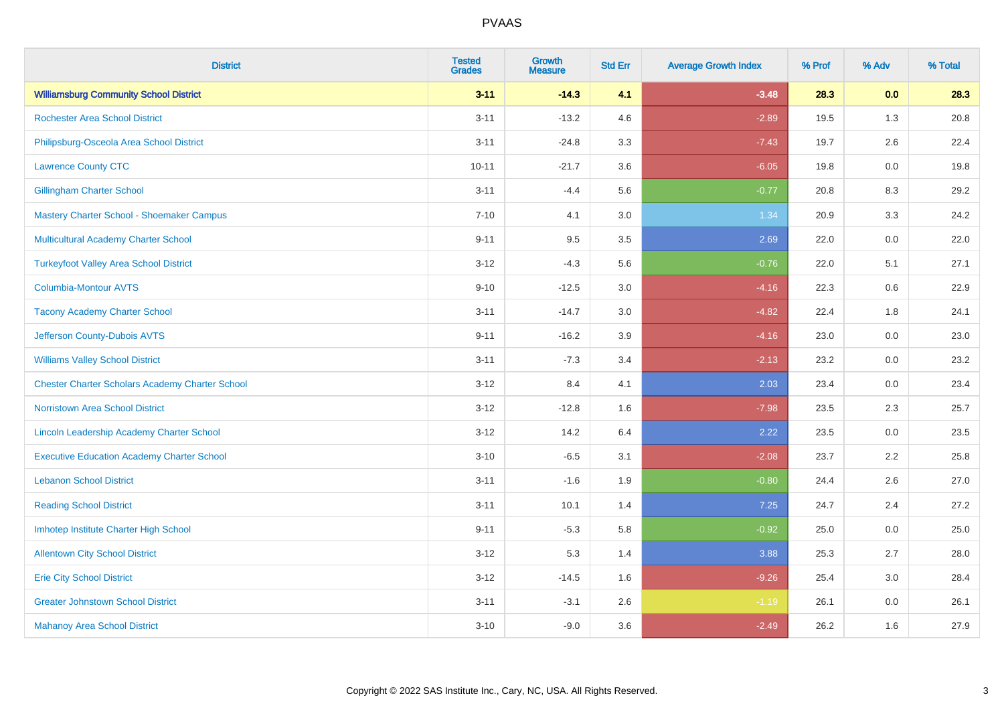| <b>District</b>                                        | <b>Tested</b><br><b>Grades</b> | <b>Growth</b><br><b>Measure</b> | <b>Std Err</b> | <b>Average Growth Index</b> | % Prof | % Adv   | % Total |
|--------------------------------------------------------|--------------------------------|---------------------------------|----------------|-----------------------------|--------|---------|---------|
| <b>Williamsburg Community School District</b>          | $3 - 11$                       | $-14.3$                         | 4.1            | $-3.48$                     | 28.3   | 0.0     | 28.3    |
| <b>Rochester Area School District</b>                  | $3 - 11$                       | $-13.2$                         | 4.6            | $-2.89$                     | 19.5   | 1.3     | 20.8    |
| Philipsburg-Osceola Area School District               | $3 - 11$                       | $-24.8$                         | 3.3            | $-7.43$                     | 19.7   | 2.6     | 22.4    |
| <b>Lawrence County CTC</b>                             | $10 - 11$                      | $-21.7$                         | 3.6            | $-6.05$                     | 19.8   | $0.0\,$ | 19.8    |
| <b>Gillingham Charter School</b>                       | $3 - 11$                       | $-4.4$                          | 5.6            | $-0.77$                     | 20.8   | 8.3     | 29.2    |
| Mastery Charter School - Shoemaker Campus              | $7 - 10$                       | 4.1                             | 3.0            | 1.34                        | 20.9   | 3.3     | 24.2    |
| Multicultural Academy Charter School                   | $9 - 11$                       | 9.5                             | 3.5            | 2.69                        | 22.0   | 0.0     | 22.0    |
| <b>Turkeyfoot Valley Area School District</b>          | $3 - 12$                       | $-4.3$                          | 5.6            | $-0.76$                     | 22.0   | 5.1     | 27.1    |
| <b>Columbia-Montour AVTS</b>                           | $9 - 10$                       | $-12.5$                         | 3.0            | $-4.16$                     | 22.3   | 0.6     | 22.9    |
| <b>Tacony Academy Charter School</b>                   | $3 - 11$                       | $-14.7$                         | 3.0            | $-4.82$                     | 22.4   | 1.8     | 24.1    |
| Jefferson County-Dubois AVTS                           | $9 - 11$                       | $-16.2$                         | 3.9            | $-4.16$                     | 23.0   | 0.0     | 23.0    |
| <b>Williams Valley School District</b>                 | $3 - 11$                       | $-7.3$                          | 3.4            | $-2.13$                     | 23.2   | 0.0     | 23.2    |
| <b>Chester Charter Scholars Academy Charter School</b> | $3 - 12$                       | 8.4                             | 4.1            | 2.03                        | 23.4   | 0.0     | 23.4    |
| Norristown Area School District                        | $3 - 12$                       | $-12.8$                         | 1.6            | $-7.98$                     | 23.5   | 2.3     | 25.7    |
| Lincoln Leadership Academy Charter School              | $3 - 12$                       | 14.2                            | 6.4            | 2.22                        | 23.5   | 0.0     | 23.5    |
| <b>Executive Education Academy Charter School</b>      | $3 - 10$                       | $-6.5$                          | 3.1            | $-2.08$                     | 23.7   | 2.2     | 25.8    |
| <b>Lebanon School District</b>                         | $3 - 11$                       | $-1.6$                          | 1.9            | $-0.80$                     | 24.4   | 2.6     | 27.0    |
| <b>Reading School District</b>                         | $3 - 11$                       | 10.1                            | 1.4            | $7.25$                      | 24.7   | 2.4     | 27.2    |
| Imhotep Institute Charter High School                  | $9 - 11$                       | $-5.3$                          | 5.8            | $-0.92$                     | 25.0   | 0.0     | 25.0    |
| <b>Allentown City School District</b>                  | $3 - 12$                       | 5.3                             | 1.4            | 3.88                        | 25.3   | 2.7     | 28.0    |
| <b>Erie City School District</b>                       | $3 - 12$                       | $-14.5$                         | 1.6            | $-9.26$                     | 25.4   | 3.0     | 28.4    |
| <b>Greater Johnstown School District</b>               | $3 - 11$                       | $-3.1$                          | 2.6            | $-1.19$                     | 26.1   | 0.0     | 26.1    |
| <b>Mahanoy Area School District</b>                    | $3 - 10$                       | $-9.0$                          | 3.6            | $-2.49$                     | 26.2   | 1.6     | 27.9    |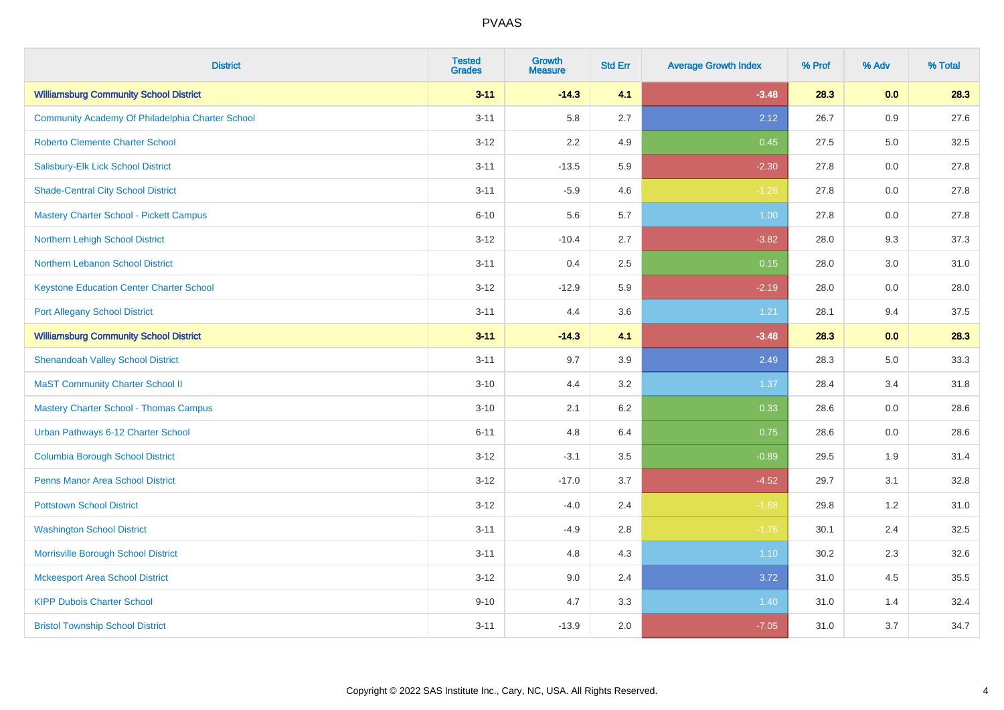| <b>District</b>                                  | <b>Tested</b><br><b>Grades</b> | <b>Growth</b><br><b>Measure</b> | <b>Std Err</b> | <b>Average Growth Index</b> | % Prof | % Adv | % Total |
|--------------------------------------------------|--------------------------------|---------------------------------|----------------|-----------------------------|--------|-------|---------|
| <b>Williamsburg Community School District</b>    | $3 - 11$                       | $-14.3$                         | 4.1            | $-3.48$                     | 28.3   | 0.0   | 28.3    |
| Community Academy Of Philadelphia Charter School | $3 - 11$                       | 5.8                             | 2.7            | 2.12                        | 26.7   | 0.9   | 27.6    |
| <b>Roberto Clemente Charter School</b>           | $3 - 12$                       | 2.2                             | 4.9            | 0.45                        | 27.5   | 5.0   | 32.5    |
| Salisbury-Elk Lick School District               | $3 - 11$                       | $-13.5$                         | 5.9            | $-2.30$                     | 27.8   | 0.0   | 27.8    |
| <b>Shade-Central City School District</b>        | $3 - 11$                       | $-5.9$                          | 4.6            | $-1.28$                     | 27.8   | 0.0   | 27.8    |
| <b>Mastery Charter School - Pickett Campus</b>   | $6 - 10$                       | 5.6                             | 5.7            | 1.00                        | 27.8   | 0.0   | 27.8    |
| Northern Lehigh School District                  | $3 - 12$                       | $-10.4$                         | 2.7            | $-3.82$                     | 28.0   | 9.3   | 37.3    |
| Northern Lebanon School District                 | $3 - 11$                       | 0.4                             | 2.5            | 0.15                        | 28.0   | 3.0   | 31.0    |
| <b>Keystone Education Center Charter School</b>  | $3 - 12$                       | $-12.9$                         | 5.9            | $-2.19$                     | 28.0   | 0.0   | 28.0    |
| <b>Port Allegany School District</b>             | $3 - 11$                       | 4.4                             | 3.6            | 1.21                        | 28.1   | 9.4   | 37.5    |
| <b>Williamsburg Community School District</b>    | $3 - 11$                       | $-14.3$                         | 4.1            | $-3.48$                     | 28.3   | 0.0   | 28.3    |
| <b>Shenandoah Valley School District</b>         | $3 - 11$                       | 9.7                             | 3.9            | 2.49                        | 28.3   | 5.0   | 33.3    |
| <b>MaST Community Charter School II</b>          | $3 - 10$                       | 4.4                             | 3.2            | 1.37                        | 28.4   | 3.4   | 31.8    |
| <b>Mastery Charter School - Thomas Campus</b>    | $3 - 10$                       | 2.1                             | 6.2            | 0.33                        | 28.6   | 0.0   | 28.6    |
| Urban Pathways 6-12 Charter School               | $6 - 11$                       | 4.8                             | 6.4            | 0.75                        | 28.6   | 0.0   | 28.6    |
| <b>Columbia Borough School District</b>          | $3 - 12$                       | $-3.1$                          | 3.5            | $-0.89$                     | 29.5   | 1.9   | 31.4    |
| <b>Penns Manor Area School District</b>          | $3 - 12$                       | $-17.0$                         | 3.7            | $-4.52$                     | 29.7   | 3.1   | 32.8    |
| <b>Pottstown School District</b>                 | $3 - 12$                       | $-4.0$                          | 2.4            | $-1.68$                     | 29.8   | 1.2   | 31.0    |
| <b>Washington School District</b>                | $3 - 11$                       | $-4.9$                          | 2.8            | $-1.76$                     | 30.1   | 2.4   | 32.5    |
| Morrisville Borough School District              | $3 - 11$                       | 4.8                             | 4.3            | 1.10                        | 30.2   | 2.3   | 32.6    |
| <b>Mckeesport Area School District</b>           | $3 - 12$                       | 9.0                             | 2.4            | 3.72                        | 31.0   | 4.5   | 35.5    |
| <b>KIPP Dubois Charter School</b>                | $9 - 10$                       | 4.7                             | 3.3            | 1.40                        | 31.0   | 1.4   | 32.4    |
| <b>Bristol Township School District</b>          | $3 - 11$                       | $-13.9$                         | 2.0            | $-7.05$                     | 31.0   | 3.7   | 34.7    |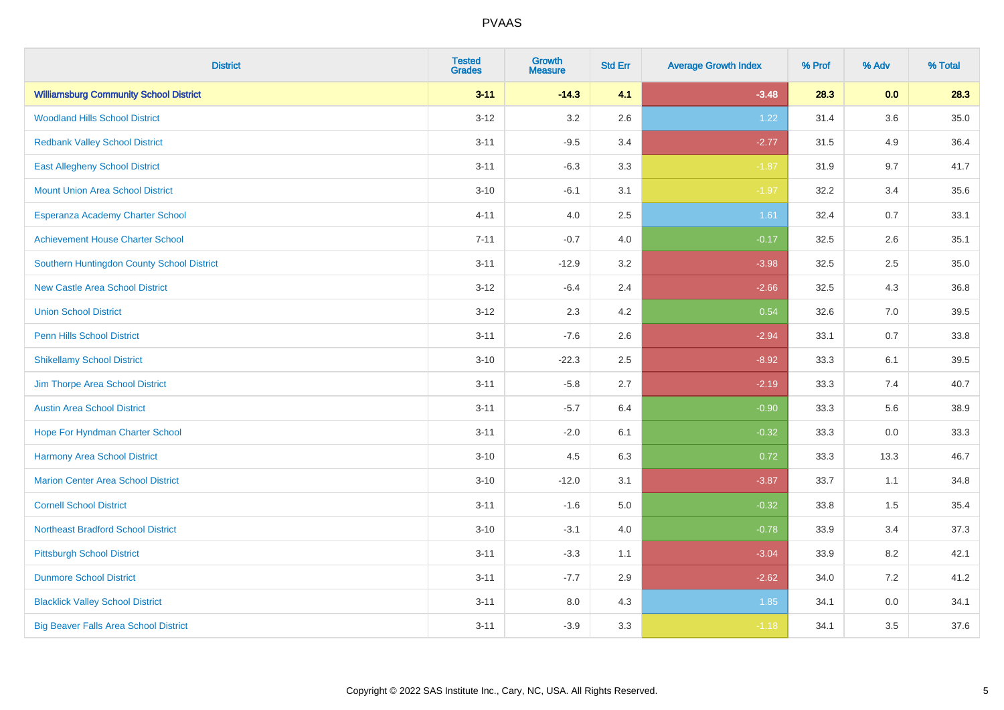| <b>District</b>                               | <b>Tested</b><br><b>Grades</b> | <b>Growth</b><br><b>Measure</b> | <b>Std Err</b> | <b>Average Growth Index</b> | % Prof | % Adv | % Total  |
|-----------------------------------------------|--------------------------------|---------------------------------|----------------|-----------------------------|--------|-------|----------|
| <b>Williamsburg Community School District</b> | $3 - 11$                       | $-14.3$                         | 4.1            | $-3.48$                     | 28.3   | 0.0   | 28.3     |
| <b>Woodland Hills School District</b>         | $3 - 12$                       | 3.2                             | 2.6            | 1.22                        | 31.4   | 3.6   | $35.0\,$ |
| <b>Redbank Valley School District</b>         | $3 - 11$                       | $-9.5$                          | 3.4            | $-2.77$                     | 31.5   | 4.9   | 36.4     |
| <b>East Allegheny School District</b>         | $3 - 11$                       | $-6.3$                          | 3.3            | $-1.87$                     | 31.9   | 9.7   | 41.7     |
| <b>Mount Union Area School District</b>       | $3 - 10$                       | $-6.1$                          | 3.1            | $-1.97$                     | 32.2   | 3.4   | 35.6     |
| Esperanza Academy Charter School              | $4 - 11$                       | 4.0                             | 2.5            | 1.61                        | 32.4   | 0.7   | 33.1     |
| <b>Achievement House Charter School</b>       | $7 - 11$                       | $-0.7$                          | 4.0            | $-0.17$                     | 32.5   | 2.6   | 35.1     |
| Southern Huntingdon County School District    | $3 - 11$                       | $-12.9$                         | 3.2            | $-3.98$                     | 32.5   | 2.5   | 35.0     |
| <b>New Castle Area School District</b>        | $3 - 12$                       | $-6.4$                          | 2.4            | $-2.66$                     | 32.5   | 4.3   | 36.8     |
| <b>Union School District</b>                  | $3 - 12$                       | 2.3                             | 4.2            | 0.54                        | 32.6   | 7.0   | 39.5     |
| <b>Penn Hills School District</b>             | $3 - 11$                       | $-7.6$                          | 2.6            | $-2.94$                     | 33.1   | 0.7   | 33.8     |
| <b>Shikellamy School District</b>             | $3 - 10$                       | $-22.3$                         | 2.5            | $-8.92$                     | 33.3   | 6.1   | 39.5     |
| Jim Thorpe Area School District               | $3 - 11$                       | $-5.8$                          | 2.7            | $-2.19$                     | 33.3   | 7.4   | 40.7     |
| <b>Austin Area School District</b>            | $3 - 11$                       | $-5.7$                          | 6.4            | $-0.90$                     | 33.3   | 5.6   | 38.9     |
| Hope For Hyndman Charter School               | $3 - 11$                       | $-2.0$                          | 6.1            | $-0.32$                     | 33.3   | 0.0   | 33.3     |
| <b>Harmony Area School District</b>           | $3 - 10$                       | 4.5                             | 6.3            | 0.72                        | 33.3   | 13.3  | 46.7     |
| <b>Marion Center Area School District</b>     | $3 - 10$                       | $-12.0$                         | 3.1            | $-3.87$                     | 33.7   | 1.1   | 34.8     |
| <b>Cornell School District</b>                | $3 - 11$                       | $-1.6$                          | 5.0            | $-0.32$                     | 33.8   | 1.5   | 35.4     |
| <b>Northeast Bradford School District</b>     | $3 - 10$                       | $-3.1$                          | 4.0            | $-0.78$                     | 33.9   | 3.4   | 37.3     |
| <b>Pittsburgh School District</b>             | $3 - 11$                       | $-3.3$                          | 1.1            | $-3.04$                     | 33.9   | 8.2   | 42.1     |
| <b>Dunmore School District</b>                | $3 - 11$                       | $-7.7$                          | 2.9            | $-2.62$                     | 34.0   | 7.2   | 41.2     |
| <b>Blacklick Valley School District</b>       | $3 - 11$                       | 8.0                             | 4.3            | 1.85                        | 34.1   | 0.0   | 34.1     |
| <b>Big Beaver Falls Area School District</b>  | $3 - 11$                       | $-3.9$                          | 3.3            | $-1.18$                     | 34.1   | 3.5   | 37.6     |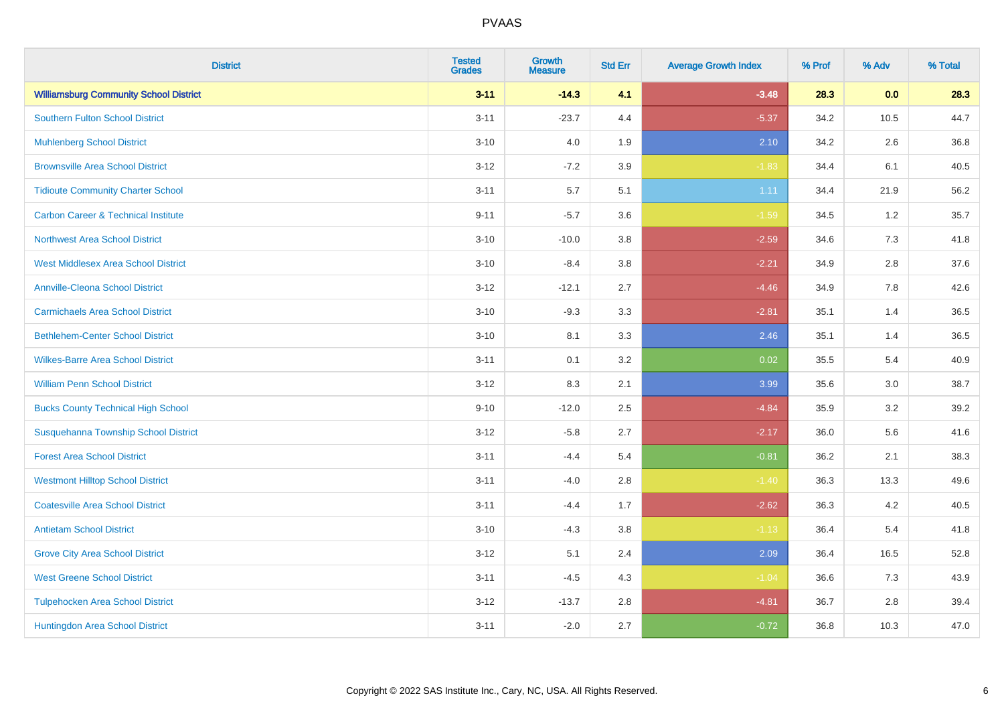| <b>District</b>                                | <b>Tested</b><br><b>Grades</b> | <b>Growth</b><br><b>Measure</b> | <b>Std Err</b> | <b>Average Growth Index</b> | % Prof | % Adv | % Total |
|------------------------------------------------|--------------------------------|---------------------------------|----------------|-----------------------------|--------|-------|---------|
| <b>Williamsburg Community School District</b>  | $3 - 11$                       | $-14.3$                         | 4.1            | $-3.48$                     | 28.3   | 0.0   | 28.3    |
| <b>Southern Fulton School District</b>         | $3 - 11$                       | $-23.7$                         | 4.4            | $-5.37$                     | 34.2   | 10.5  | 44.7    |
| <b>Muhlenberg School District</b>              | $3 - 10$                       | 4.0                             | 1.9            | 2.10                        | 34.2   | 2.6   | 36.8    |
| <b>Brownsville Area School District</b>        | $3 - 12$                       | $-7.2$                          | 3.9            | $-1.83$                     | 34.4   | 6.1   | 40.5    |
| <b>Tidioute Community Charter School</b>       | $3 - 11$                       | 5.7                             | 5.1            | 1.11                        | 34.4   | 21.9  | 56.2    |
| <b>Carbon Career &amp; Technical Institute</b> | $9 - 11$                       | $-5.7$                          | 3.6            | $-1.59$                     | 34.5   | 1.2   | 35.7    |
| <b>Northwest Area School District</b>          | $3 - 10$                       | $-10.0$                         | 3.8            | $-2.59$                     | 34.6   | 7.3   | 41.8    |
| <b>West Middlesex Area School District</b>     | $3 - 10$                       | $-8.4$                          | 3.8            | $-2.21$                     | 34.9   | 2.8   | 37.6    |
| <b>Annville-Cleona School District</b>         | $3 - 12$                       | $-12.1$                         | 2.7            | $-4.46$                     | 34.9   | 7.8   | 42.6    |
| <b>Carmichaels Area School District</b>        | $3 - 10$                       | $-9.3$                          | 3.3            | $-2.81$                     | 35.1   | 1.4   | 36.5    |
| <b>Bethlehem-Center School District</b>        | $3 - 10$                       | 8.1                             | 3.3            | 2.46                        | 35.1   | 1.4   | 36.5    |
| <b>Wilkes-Barre Area School District</b>       | $3 - 11$                       | 0.1                             | 3.2            | 0.02                        | 35.5   | 5.4   | 40.9    |
| <b>William Penn School District</b>            | $3 - 12$                       | 8.3                             | 2.1            | 3.99                        | 35.6   | 3.0   | 38.7    |
| <b>Bucks County Technical High School</b>      | $9 - 10$                       | $-12.0$                         | 2.5            | $-4.84$                     | 35.9   | 3.2   | 39.2    |
| Susquehanna Township School District           | $3 - 12$                       | $-5.8$                          | 2.7            | $-2.17$                     | 36.0   | 5.6   | 41.6    |
| <b>Forest Area School District</b>             | $3 - 11$                       | $-4.4$                          | 5.4            | $-0.81$                     | 36.2   | 2.1   | 38.3    |
| <b>Westmont Hilltop School District</b>        | $3 - 11$                       | $-4.0$                          | 2.8            | $-1.40$                     | 36.3   | 13.3  | 49.6    |
| <b>Coatesville Area School District</b>        | $3 - 11$                       | $-4.4$                          | 1.7            | $-2.62$                     | 36.3   | 4.2   | 40.5    |
| <b>Antietam School District</b>                | $3 - 10$                       | $-4.3$                          | 3.8            | $-1.13$                     | 36.4   | 5.4   | 41.8    |
| <b>Grove City Area School District</b>         | $3-12$                         | 5.1                             | 2.4            | 2.09                        | 36.4   | 16.5  | 52.8    |
| <b>West Greene School District</b>             | $3 - 11$                       | $-4.5$                          | 4.3            | $-1.04$                     | 36.6   | 7.3   | 43.9    |
| <b>Tulpehocken Area School District</b>        | $3 - 12$                       | $-13.7$                         | 2.8            | $-4.81$                     | 36.7   | 2.8   | 39.4    |
| Huntingdon Area School District                | $3 - 11$                       | $-2.0$                          | 2.7            | $-0.72$                     | 36.8   | 10.3  | 47.0    |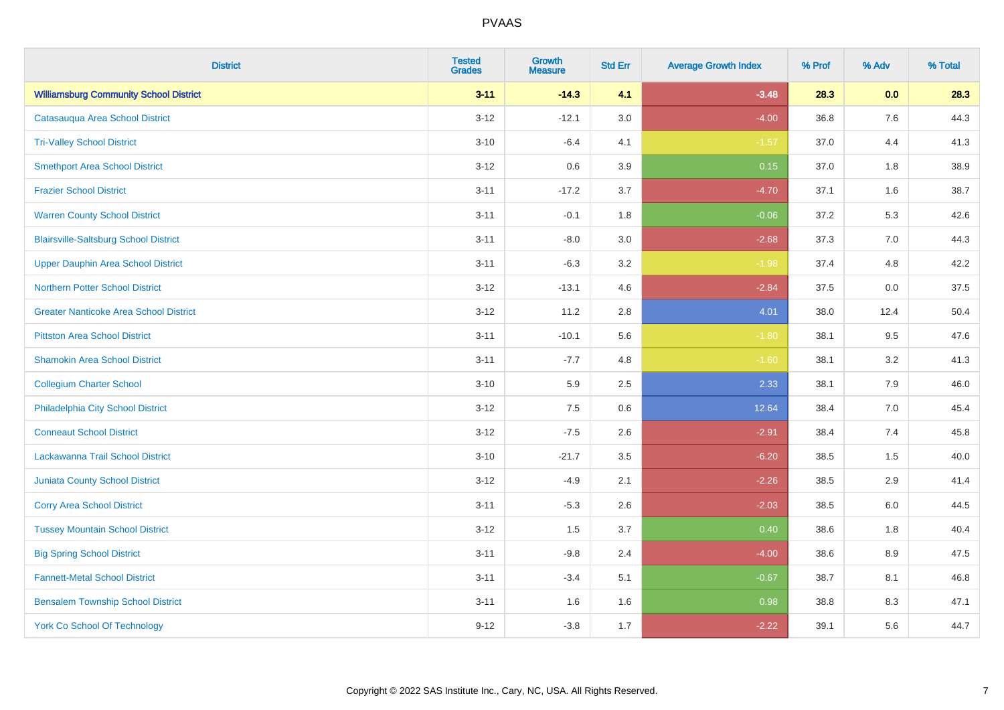| <b>District</b>                               | <b>Tested</b><br><b>Grades</b> | <b>Growth</b><br><b>Measure</b> | <b>Std Err</b> | <b>Average Growth Index</b> | % Prof | % Adv | % Total |
|-----------------------------------------------|--------------------------------|---------------------------------|----------------|-----------------------------|--------|-------|---------|
| <b>Williamsburg Community School District</b> | $3 - 11$                       | $-14.3$                         | 4.1            | $-3.48$                     | 28.3   | 0.0   | 28.3    |
| Catasauqua Area School District               | $3 - 12$                       | $-12.1$                         | 3.0            | $-4.00$                     | 36.8   | 7.6   | 44.3    |
| <b>Tri-Valley School District</b>             | $3 - 10$                       | $-6.4$                          | 4.1            | $-1.57$                     | 37.0   | 4.4   | 41.3    |
| <b>Smethport Area School District</b>         | $3-12$                         | 0.6                             | 3.9            | 0.15                        | 37.0   | 1.8   | 38.9    |
| <b>Frazier School District</b>                | $3 - 11$                       | $-17.2$                         | 3.7            | $-4.70$                     | 37.1   | 1.6   | 38.7    |
| <b>Warren County School District</b>          | $3 - 11$                       | $-0.1$                          | 1.8            | $-0.06$                     | 37.2   | 5.3   | 42.6    |
| <b>Blairsville-Saltsburg School District</b>  | $3 - 11$                       | $-8.0$                          | 3.0            | $-2.68$                     | 37.3   | 7.0   | 44.3    |
| <b>Upper Dauphin Area School District</b>     | $3 - 11$                       | $-6.3$                          | 3.2            | $-1.98$                     | 37.4   | 4.8   | 42.2    |
| <b>Northern Potter School District</b>        | $3-12$                         | $-13.1$                         | 4.6            | $-2.84$                     | 37.5   | 0.0   | 37.5    |
| <b>Greater Nanticoke Area School District</b> | $3 - 12$                       | 11.2                            | 2.8            | 4.01                        | 38.0   | 12.4  | 50.4    |
| <b>Pittston Area School District</b>          | $3 - 11$                       | $-10.1$                         | 5.6            | $-1.80$                     | 38.1   | 9.5   | 47.6    |
| <b>Shamokin Area School District</b>          | $3 - 11$                       | $-7.7$                          | 4.8            | $-1.60$                     | 38.1   | 3.2   | 41.3    |
| <b>Collegium Charter School</b>               | $3 - 10$                       | 5.9                             | 2.5            | 2.33                        | 38.1   | $7.9$ | 46.0    |
| Philadelphia City School District             | $3 - 12$                       | 7.5                             | 0.6            | 12.64                       | 38.4   | 7.0   | 45.4    |
| <b>Conneaut School District</b>               | $3-12$                         | $-7.5$                          | 2.6            | $-2.91$                     | 38.4   | 7.4   | 45.8    |
| Lackawanna Trail School District              | $3 - 10$                       | $-21.7$                         | 3.5            | $-6.20$                     | 38.5   | 1.5   | 40.0    |
| <b>Juniata County School District</b>         | $3 - 12$                       | $-4.9$                          | 2.1            | $-2.26$                     | 38.5   | 2.9   | 41.4    |
| <b>Corry Area School District</b>             | $3 - 11$                       | $-5.3$                          | 2.6            | $-2.03$                     | 38.5   | 6.0   | 44.5    |
| <b>Tussey Mountain School District</b>        | $3 - 12$                       | 1.5                             | 3.7            | 0.40                        | 38.6   | 1.8   | 40.4    |
| <b>Big Spring School District</b>             | $3 - 11$                       | $-9.8$                          | 2.4            | $-4.00$                     | 38.6   | 8.9   | 47.5    |
| <b>Fannett-Metal School District</b>          | $3 - 11$                       | $-3.4$                          | 5.1            | $-0.67$                     | 38.7   | 8.1   | 46.8    |
| <b>Bensalem Township School District</b>      | $3 - 11$                       | 1.6                             | 1.6            | 0.98                        | 38.8   | 8.3   | 47.1    |
| <b>York Co School Of Technology</b>           | $9 - 12$                       | $-3.8$                          | 1.7            | $-2.22$                     | 39.1   | 5.6   | 44.7    |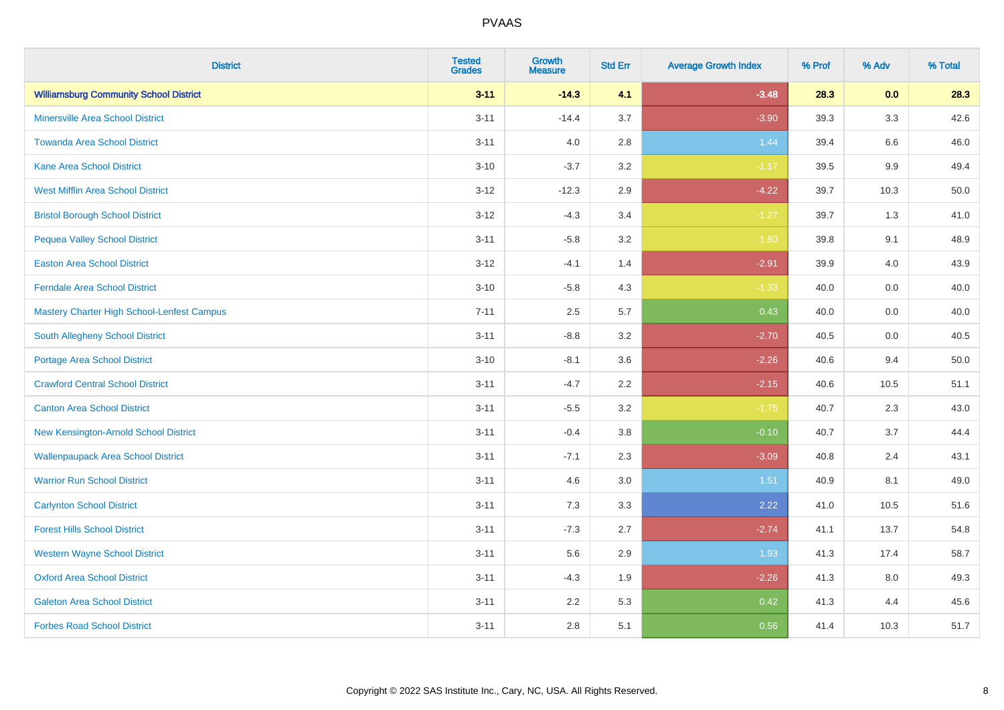| <b>District</b>                               | <b>Tested</b><br><b>Grades</b> | <b>Growth</b><br><b>Measure</b> | <b>Std Err</b> | <b>Average Growth Index</b> | % Prof | % Adv   | % Total |
|-----------------------------------------------|--------------------------------|---------------------------------|----------------|-----------------------------|--------|---------|---------|
| <b>Williamsburg Community School District</b> | $3 - 11$                       | $-14.3$                         | 4.1            | $-3.48$                     | 28.3   | 0.0     | 28.3    |
| <b>Minersville Area School District</b>       | $3 - 11$                       | $-14.4$                         | 3.7            | $-3.90$                     | 39.3   | 3.3     | 42.6    |
| <b>Towanda Area School District</b>           | $3 - 11$                       | 4.0                             | 2.8            | 1.44                        | 39.4   | $6.6\,$ | 46.0    |
| <b>Kane Area School District</b>              | $3 - 10$                       | $-3.7$                          | 3.2            | $-1.17$                     | 39.5   | 9.9     | 49.4    |
| <b>West Mifflin Area School District</b>      | $3 - 12$                       | $-12.3$                         | 2.9            | $-4.22$                     | 39.7   | 10.3    | 50.0    |
| <b>Bristol Borough School District</b>        | $3 - 12$                       | $-4.3$                          | 3.4            | $-1.27$                     | 39.7   | 1.3     | 41.0    |
| <b>Pequea Valley School District</b>          | $3 - 11$                       | $-5.8$                          | 3.2            | $-1.80$                     | 39.8   | 9.1     | 48.9    |
| <b>Easton Area School District</b>            | $3 - 12$                       | $-4.1$                          | 1.4            | $-2.91$                     | 39.9   | 4.0     | 43.9    |
| <b>Ferndale Area School District</b>          | $3 - 10$                       | $-5.8$                          | 4.3            | $-1.33$                     | 40.0   | 0.0     | 40.0    |
| Mastery Charter High School-Lenfest Campus    | $7 - 11$                       | 2.5                             | 5.7            | 0.43                        | 40.0   | 0.0     | 40.0    |
| <b>South Allegheny School District</b>        | $3 - 11$                       | $-8.8$                          | 3.2            | $-2.70$                     | 40.5   | 0.0     | 40.5    |
| <b>Portage Area School District</b>           | $3 - 10$                       | $-8.1$                          | 3.6            | $-2.26$                     | 40.6   | 9.4     | 50.0    |
| <b>Crawford Central School District</b>       | $3 - 11$                       | $-4.7$                          | 2.2            | $-2.15$                     | 40.6   | 10.5    | 51.1    |
| <b>Canton Area School District</b>            | $3 - 11$                       | $-5.5$                          | 3.2            | $-1.75$                     | 40.7   | 2.3     | 43.0    |
| New Kensington-Arnold School District         | $3 - 11$                       | $-0.4$                          | 3.8            | $-0.10$                     | 40.7   | 3.7     | 44.4    |
| <b>Wallenpaupack Area School District</b>     | $3 - 11$                       | $-7.1$                          | 2.3            | $-3.09$                     | 40.8   | 2.4     | 43.1    |
| <b>Warrior Run School District</b>            | $3 - 11$                       | 4.6                             | 3.0            | 1.51                        | 40.9   | 8.1     | 49.0    |
| <b>Carlynton School District</b>              | $3 - 11$                       | 7.3                             | 3.3            | 2.22                        | 41.0   | 10.5    | 51.6    |
| <b>Forest Hills School District</b>           | $3 - 11$                       | $-7.3$                          | 2.7            | $-2.74$                     | 41.1   | 13.7    | 54.8    |
| <b>Western Wayne School District</b>          | $3 - 11$                       | 5.6                             | 2.9            | 1.93                        | 41.3   | 17.4    | 58.7    |
| <b>Oxford Area School District</b>            | $3 - 11$                       | $-4.3$                          | 1.9            | $-2.26$                     | 41.3   | 8.0     | 49.3    |
| <b>Galeton Area School District</b>           | $3 - 11$                       | 2.2                             | 5.3            | 0.42                        | 41.3   | 4.4     | 45.6    |
| <b>Forbes Road School District</b>            | $3 - 11$                       | 2.8                             | 5.1            | 0.56                        | 41.4   | 10.3    | 51.7    |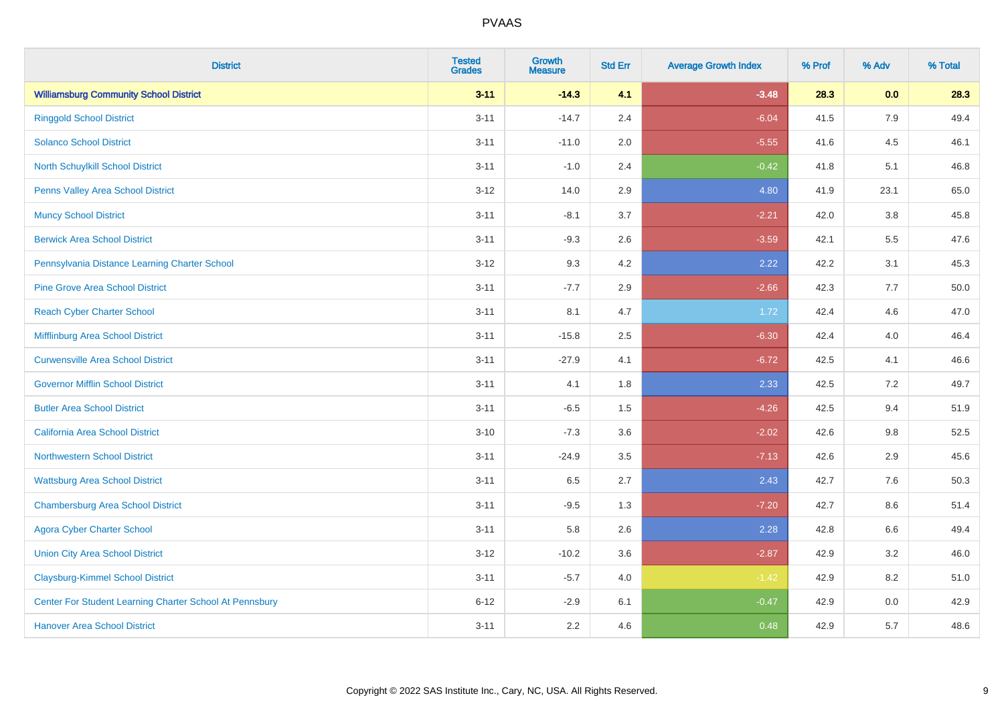| <b>District</b>                                         | <b>Tested</b><br><b>Grades</b> | <b>Growth</b><br><b>Measure</b> | <b>Std Err</b> | <b>Average Growth Index</b> | % Prof | % Adv   | % Total |
|---------------------------------------------------------|--------------------------------|---------------------------------|----------------|-----------------------------|--------|---------|---------|
| <b>Williamsburg Community School District</b>           | $3 - 11$                       | $-14.3$                         | 4.1            | $-3.48$                     | 28.3   | 0.0     | 28.3    |
| <b>Ringgold School District</b>                         | $3 - 11$                       | $-14.7$                         | 2.4            | $-6.04$                     | 41.5   | 7.9     | 49.4    |
| <b>Solanco School District</b>                          | $3 - 11$                       | $-11.0$                         | 2.0            | $-5.55$                     | 41.6   | 4.5     | 46.1    |
| <b>North Schuylkill School District</b>                 | $3 - 11$                       | $-1.0$                          | 2.4            | $-0.42$                     | 41.8   | 5.1     | 46.8    |
| Penns Valley Area School District                       | $3-12$                         | 14.0                            | 2.9            | 4.80                        | 41.9   | 23.1    | 65.0    |
| <b>Muncy School District</b>                            | $3 - 11$                       | $-8.1$                          | 3.7            | $-2.21$                     | 42.0   | 3.8     | 45.8    |
| <b>Berwick Area School District</b>                     | $3 - 11$                       | $-9.3$                          | 2.6            | $-3.59$                     | 42.1   | 5.5     | 47.6    |
| Pennsylvania Distance Learning Charter School           | $3 - 12$                       | 9.3                             | 4.2            | 2.22                        | 42.2   | 3.1     | 45.3    |
| <b>Pine Grove Area School District</b>                  | $3 - 11$                       | $-7.7$                          | 2.9            | $-2.66$                     | 42.3   | 7.7     | 50.0    |
| <b>Reach Cyber Charter School</b>                       | $3 - 11$                       | 8.1                             | 4.7            | 1.72                        | 42.4   | 4.6     | 47.0    |
| Mifflinburg Area School District                        | $3 - 11$                       | $-15.8$                         | 2.5            | $-6.30$                     | 42.4   | 4.0     | 46.4    |
| <b>Curwensville Area School District</b>                | $3 - 11$                       | $-27.9$                         | 4.1            | $-6.72$                     | 42.5   | 4.1     | 46.6    |
| <b>Governor Mifflin School District</b>                 | $3 - 11$                       | 4.1                             | 1.8            | 2.33                        | 42.5   | 7.2     | 49.7    |
| <b>Butler Area School District</b>                      | $3 - 11$                       | $-6.5$                          | 1.5            | $-4.26$                     | 42.5   | 9.4     | 51.9    |
| <b>California Area School District</b>                  | $3 - 10$                       | $-7.3$                          | 3.6            | $-2.02$                     | 42.6   | $9.8\,$ | 52.5    |
| <b>Northwestern School District</b>                     | $3 - 11$                       | $-24.9$                         | 3.5            | $-7.13$                     | 42.6   | 2.9     | 45.6    |
| <b>Wattsburg Area School District</b>                   | $3 - 11$                       | 6.5                             | 2.7            | 2.43                        | 42.7   | 7.6     | 50.3    |
| <b>Chambersburg Area School District</b>                | $3 - 11$                       | $-9.5$                          | 1.3            | $-7.20$                     | 42.7   | 8.6     | 51.4    |
| <b>Agora Cyber Charter School</b>                       | $3 - 11$                       | 5.8                             | 2.6            | 2.28                        | 42.8   | 6.6     | 49.4    |
| <b>Union City Area School District</b>                  | $3-12$                         | $-10.2$                         | 3.6            | $-2.87$                     | 42.9   | 3.2     | 46.0    |
| <b>Claysburg-Kimmel School District</b>                 | $3 - 11$                       | $-5.7$                          | 4.0            | $-1.42$                     | 42.9   | 8.2     | 51.0    |
| Center For Student Learning Charter School At Pennsbury | $6 - 12$                       | $-2.9$                          | 6.1            | $-0.47$                     | 42.9   | $0.0\,$ | 42.9    |
| <b>Hanover Area School District</b>                     | $3 - 11$                       | 2.2                             | 4.6            | 0.48                        | 42.9   | 5.7     | 48.6    |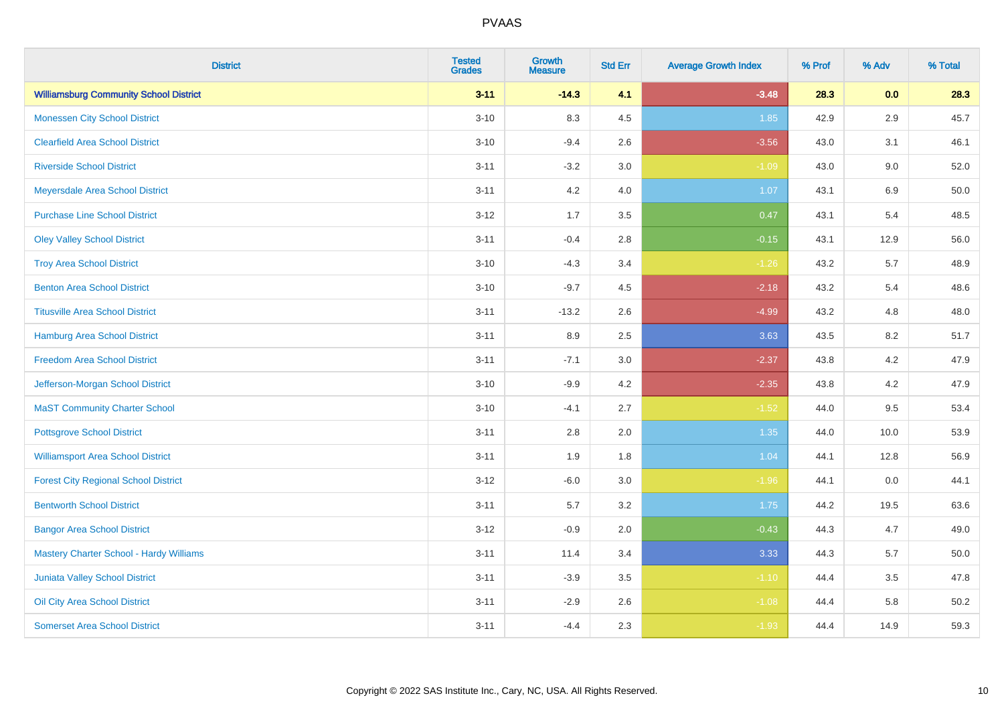| <b>District</b>                                | <b>Tested</b><br><b>Grades</b> | <b>Growth</b><br><b>Measure</b> | <b>Std Err</b> | <b>Average Growth Index</b> | % Prof | % Adv   | % Total |
|------------------------------------------------|--------------------------------|---------------------------------|----------------|-----------------------------|--------|---------|---------|
| <b>Williamsburg Community School District</b>  | $3 - 11$                       | $-14.3$                         | 4.1            | $-3.48$                     | 28.3   | 0.0     | 28.3    |
| <b>Monessen City School District</b>           | $3 - 10$                       | 8.3                             | 4.5            | 1.85                        | 42.9   | $2.9\,$ | 45.7    |
| <b>Clearfield Area School District</b>         | $3 - 10$                       | $-9.4$                          | 2.6            | $-3.56$                     | 43.0   | 3.1     | 46.1    |
| <b>Riverside School District</b>               | $3 - 11$                       | $-3.2$                          | 3.0            | $-1.09$                     | 43.0   | 9.0     | 52.0    |
| Meyersdale Area School District                | $3 - 11$                       | 4.2                             | 4.0            | 1.07                        | 43.1   | 6.9     | 50.0    |
| <b>Purchase Line School District</b>           | $3 - 12$                       | 1.7                             | 3.5            | 0.47                        | 43.1   | 5.4     | 48.5    |
| <b>Oley Valley School District</b>             | $3 - 11$                       | $-0.4$                          | 2.8            | $-0.15$                     | 43.1   | 12.9    | 56.0    |
| <b>Troy Area School District</b>               | $3 - 10$                       | $-4.3$                          | 3.4            | $-1.26$                     | 43.2   | 5.7     | 48.9    |
| <b>Benton Area School District</b>             | $3 - 10$                       | $-9.7$                          | 4.5            | $-2.18$                     | 43.2   | 5.4     | 48.6    |
| <b>Titusville Area School District</b>         | $3 - 11$                       | $-13.2$                         | 2.6            | $-4.99$                     | 43.2   | 4.8     | 48.0    |
| <b>Hamburg Area School District</b>            | $3 - 11$                       | 8.9                             | 2.5            | 3.63                        | 43.5   | 8.2     | 51.7    |
| <b>Freedom Area School District</b>            | $3 - 11$                       | $-7.1$                          | 3.0            | $-2.37$                     | 43.8   | 4.2     | 47.9    |
| Jefferson-Morgan School District               | $3 - 10$                       | $-9.9$                          | 4.2            | $-2.35$                     | 43.8   | 4.2     | 47.9    |
| <b>MaST Community Charter School</b>           | $3 - 10$                       | $-4.1$                          | 2.7            | $-1.52$                     | 44.0   | 9.5     | 53.4    |
| <b>Pottsgrove School District</b>              | $3 - 11$                       | 2.8                             | 2.0            | 1.35                        | 44.0   | 10.0    | 53.9    |
| <b>Williamsport Area School District</b>       | $3 - 11$                       | 1.9                             | 1.8            | 1.04                        | 44.1   | 12.8    | 56.9    |
| <b>Forest City Regional School District</b>    | $3 - 12$                       | $-6.0$                          | 3.0            | $-1.96$                     | 44.1   | $0.0\,$ | 44.1    |
| <b>Bentworth School District</b>               | $3 - 11$                       | 5.7                             | 3.2            | 1.75                        | 44.2   | 19.5    | 63.6    |
| <b>Bangor Area School District</b>             | $3-12$                         | $-0.9$                          | 2.0            | $-0.43$                     | 44.3   | 4.7     | 49.0    |
| <b>Mastery Charter School - Hardy Williams</b> | $3 - 11$                       | 11.4                            | 3.4            | 3.33                        | 44.3   | 5.7     | 50.0    |
| Juniata Valley School District                 | $3 - 11$                       | $-3.9$                          | 3.5            | $-1.10$                     | 44.4   | 3.5     | 47.8    |
| Oil City Area School District                  | $3 - 11$                       | $-2.9$                          | 2.6            | $-1.08$                     | 44.4   | 5.8     | 50.2    |
| <b>Somerset Area School District</b>           | $3 - 11$                       | $-4.4$                          | 2.3            | $-1.93$                     | 44.4   | 14.9    | 59.3    |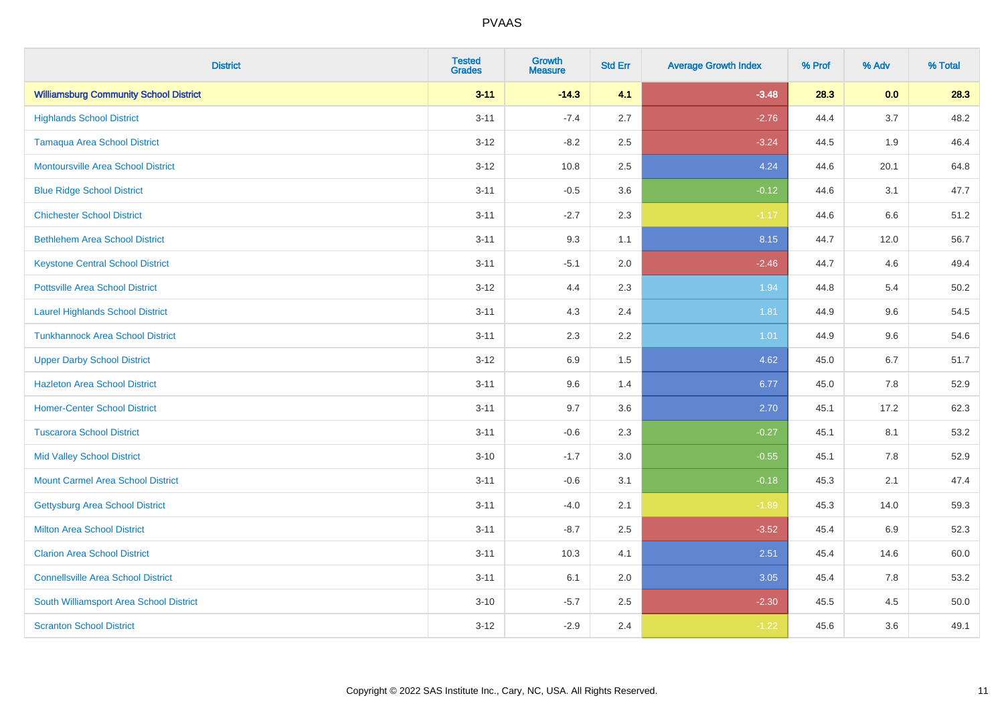| <b>District</b>                               | <b>Tested</b><br><b>Grades</b> | <b>Growth</b><br><b>Measure</b> | <b>Std Err</b> | <b>Average Growth Index</b> | % Prof | % Adv   | % Total |
|-----------------------------------------------|--------------------------------|---------------------------------|----------------|-----------------------------|--------|---------|---------|
| <b>Williamsburg Community School District</b> | $3 - 11$                       | $-14.3$                         | 4.1            | $-3.48$                     | 28.3   | 0.0     | 28.3    |
| <b>Highlands School District</b>              | $3 - 11$                       | $-7.4$                          | 2.7            | $-2.76$                     | 44.4   | 3.7     | 48.2    |
| <b>Tamaqua Area School District</b>           | $3 - 12$                       | $-8.2$                          | 2.5            | $-3.24$                     | 44.5   | 1.9     | 46.4    |
| <b>Montoursville Area School District</b>     | $3 - 12$                       | 10.8                            | 2.5            | 4.24                        | 44.6   | 20.1    | 64.8    |
| <b>Blue Ridge School District</b>             | $3 - 11$                       | $-0.5$                          | 3.6            | $-0.12$                     | 44.6   | 3.1     | 47.7    |
| <b>Chichester School District</b>             | $3 - 11$                       | $-2.7$                          | 2.3            | $-1.17$                     | 44.6   | $6.6\,$ | 51.2    |
| <b>Bethlehem Area School District</b>         | $3 - 11$                       | 9.3                             | 1.1            | 8.15                        | 44.7   | 12.0    | 56.7    |
| <b>Keystone Central School District</b>       | $3 - 11$                       | $-5.1$                          | 2.0            | $-2.46$                     | 44.7   | 4.6     | 49.4    |
| <b>Pottsville Area School District</b>        | $3 - 12$                       | 4.4                             | 2.3            | 1.94                        | 44.8   | 5.4     | 50.2    |
| <b>Laurel Highlands School District</b>       | $3 - 11$                       | 4.3                             | 2.4            | 1.81                        | 44.9   | 9.6     | 54.5    |
| <b>Tunkhannock Area School District</b>       | $3 - 11$                       | 2.3                             | 2.2            | 1.01                        | 44.9   | 9.6     | 54.6    |
| <b>Upper Darby School District</b>            | $3 - 12$                       | 6.9                             | 1.5            | 4.62                        | 45.0   | 6.7     | 51.7    |
| <b>Hazleton Area School District</b>          | $3 - 11$                       | 9.6                             | 1.4            | 6.77                        | 45.0   | $7.8\,$ | 52.9    |
| <b>Homer-Center School District</b>           | $3 - 11$                       | 9.7                             | 3.6            | 2.70                        | 45.1   | 17.2    | 62.3    |
| <b>Tuscarora School District</b>              | $3 - 11$                       | $-0.6$                          | 2.3            | $-0.27$                     | 45.1   | 8.1     | 53.2    |
| <b>Mid Valley School District</b>             | $3 - 10$                       | $-1.7$                          | 3.0            | $-0.55$                     | 45.1   | 7.8     | 52.9    |
| <b>Mount Carmel Area School District</b>      | $3 - 11$                       | $-0.6$                          | 3.1            | $-0.18$                     | 45.3   | 2.1     | 47.4    |
| <b>Gettysburg Area School District</b>        | $3 - 11$                       | $-4.0$                          | 2.1            | $-1.89$                     | 45.3   | 14.0    | 59.3    |
| <b>Milton Area School District</b>            | $3 - 11$                       | $-8.7$                          | 2.5            | $-3.52$                     | 45.4   | 6.9     | 52.3    |
| <b>Clarion Area School District</b>           | $3 - 11$                       | 10.3                            | 4.1            | 2.51                        | 45.4   | 14.6    | 60.0    |
| <b>Connellsville Area School District</b>     | $3 - 11$                       | 6.1                             | 2.0            | 3.05                        | 45.4   | 7.8     | 53.2    |
| South Williamsport Area School District       | $3 - 10$                       | $-5.7$                          | 2.5            | $-2.30$                     | 45.5   | 4.5     | 50.0    |
| <b>Scranton School District</b>               | $3 - 12$                       | $-2.9$                          | 2.4            | $-1.22$                     | 45.6   | 3.6     | 49.1    |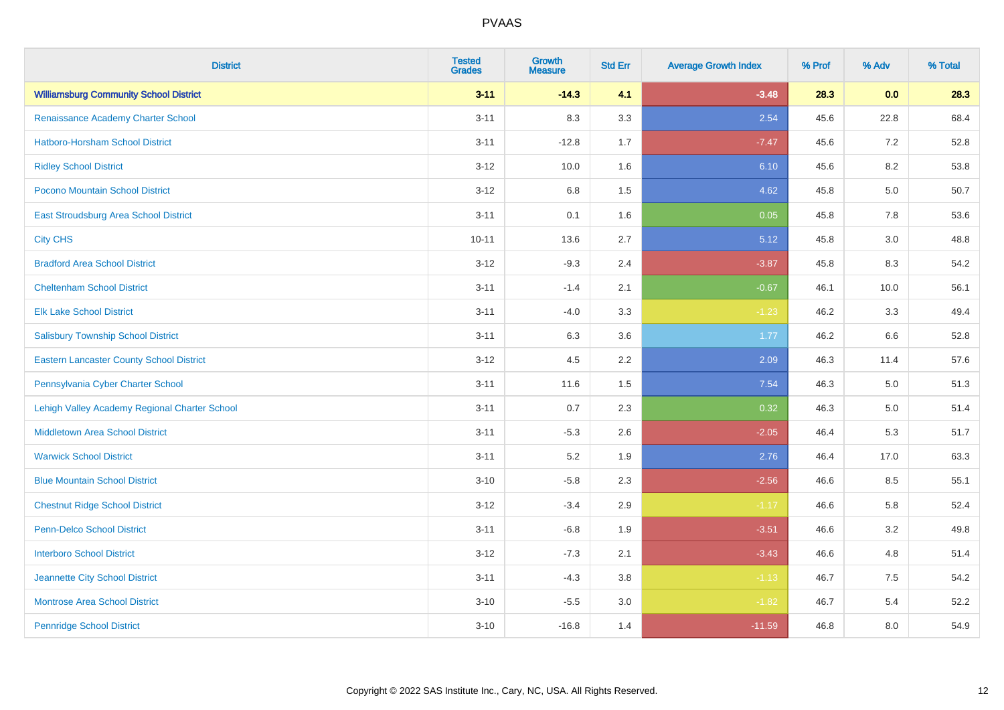| <b>District</b>                                 | <b>Tested</b><br><b>Grades</b> | <b>Growth</b><br><b>Measure</b> | <b>Std Err</b> | <b>Average Growth Index</b> | % Prof | % Adv   | % Total |
|-------------------------------------------------|--------------------------------|---------------------------------|----------------|-----------------------------|--------|---------|---------|
| <b>Williamsburg Community School District</b>   | $3 - 11$                       | $-14.3$                         | 4.1            | $-3.48$                     | 28.3   | 0.0     | 28.3    |
| Renaissance Academy Charter School              | $3 - 11$                       | 8.3                             | 3.3            | 2.54                        | 45.6   | 22.8    | 68.4    |
| <b>Hatboro-Horsham School District</b>          | $3 - 11$                       | $-12.8$                         | 1.7            | $-7.47$                     | 45.6   | 7.2     | 52.8    |
| <b>Ridley School District</b>                   | $3 - 12$                       | 10.0                            | 1.6            | 6.10                        | 45.6   | 8.2     | 53.8    |
| Pocono Mountain School District                 | $3 - 12$                       | 6.8                             | 1.5            | 4.62                        | 45.8   | 5.0     | 50.7    |
| <b>East Stroudsburg Area School District</b>    | $3 - 11$                       | 0.1                             | 1.6            | 0.05                        | 45.8   | 7.8     | 53.6    |
| <b>City CHS</b>                                 | $10 - 11$                      | 13.6                            | 2.7            | 5.12                        | 45.8   | 3.0     | 48.8    |
| <b>Bradford Area School District</b>            | $3 - 12$                       | $-9.3$                          | 2.4            | $-3.87$                     | 45.8   | 8.3     | 54.2    |
| <b>Cheltenham School District</b>               | $3 - 11$                       | $-1.4$                          | 2.1            | $-0.67$                     | 46.1   | 10.0    | 56.1    |
| <b>Elk Lake School District</b>                 | $3 - 11$                       | $-4.0$                          | 3.3            | $-1.23$                     | 46.2   | 3.3     | 49.4    |
| <b>Salisbury Township School District</b>       | $3 - 11$                       | 6.3                             | 3.6            | 1.77                        | 46.2   | 6.6     | 52.8    |
| <b>Eastern Lancaster County School District</b> | $3 - 12$                       | 4.5                             | 2.2            | 2.09                        | 46.3   | 11.4    | 57.6    |
| Pennsylvania Cyber Charter School               | $3 - 11$                       | 11.6                            | 1.5            | 7.54                        | 46.3   | $5.0\,$ | 51.3    |
| Lehigh Valley Academy Regional Charter School   | $3 - 11$                       | 0.7                             | 2.3            | 0.32                        | 46.3   | 5.0     | 51.4    |
| <b>Middletown Area School District</b>          | $3 - 11$                       | $-5.3$                          | 2.6            | $-2.05$                     | 46.4   | 5.3     | 51.7    |
| <b>Warwick School District</b>                  | $3 - 11$                       | 5.2                             | 1.9            | 2.76                        | 46.4   | 17.0    | 63.3    |
| <b>Blue Mountain School District</b>            | $3 - 10$                       | $-5.8$                          | 2.3            | $-2.56$                     | 46.6   | 8.5     | 55.1    |
| <b>Chestnut Ridge School District</b>           | $3 - 12$                       | $-3.4$                          | 2.9            | $-1.17$                     | 46.6   | 5.8     | 52.4    |
| Penn-Delco School District                      | $3 - 11$                       | $-6.8$                          | 1.9            | $-3.51$                     | 46.6   | 3.2     | 49.8    |
| <b>Interboro School District</b>                | $3 - 12$                       | $-7.3$                          | 2.1            | $-3.43$                     | 46.6   | 4.8     | 51.4    |
| Jeannette City School District                  | $3 - 11$                       | $-4.3$                          | 3.8            | $-1.13$                     | 46.7   | 7.5     | 54.2    |
| <b>Montrose Area School District</b>            | $3 - 10$                       | $-5.5$                          | 3.0            | $-1.82$                     | 46.7   | 5.4     | 52.2    |
| <b>Pennridge School District</b>                | $3 - 10$                       | $-16.8$                         | 1.4            | $-11.59$                    | 46.8   | 8.0     | 54.9    |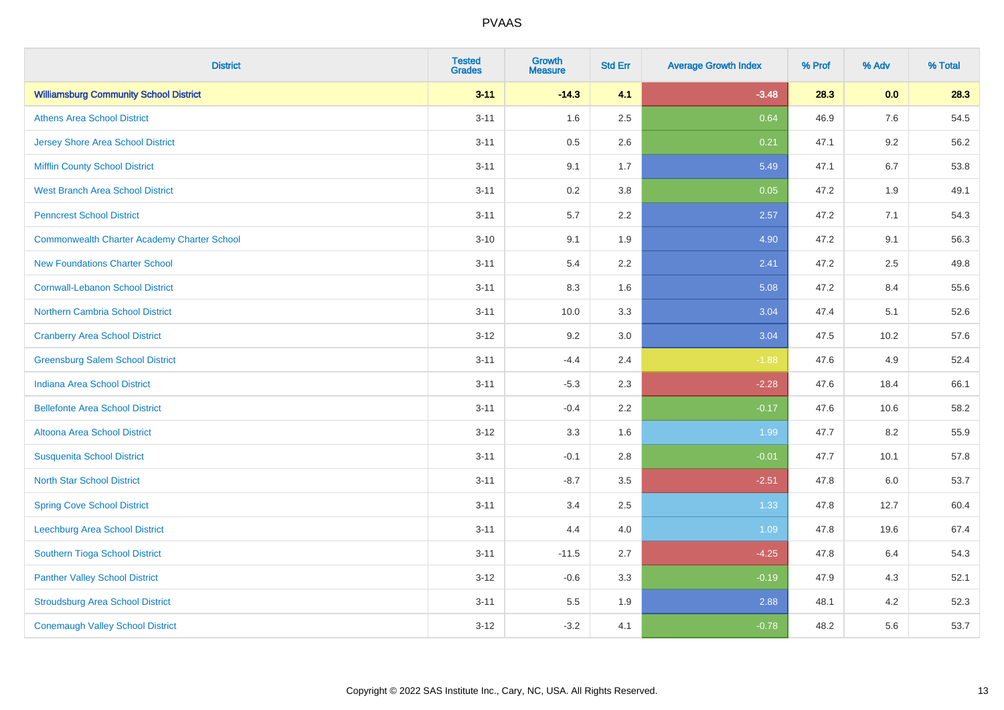| <b>District</b>                                    | <b>Tested</b><br><b>Grades</b> | Growth<br><b>Measure</b> | <b>Std Err</b> | <b>Average Growth Index</b> | % Prof | % Adv   | % Total |
|----------------------------------------------------|--------------------------------|--------------------------|----------------|-----------------------------|--------|---------|---------|
| <b>Williamsburg Community School District</b>      | $3 - 11$                       | $-14.3$                  | 4.1            | $-3.48$                     | 28.3   | 0.0     | 28.3    |
| <b>Athens Area School District</b>                 | $3 - 11$                       | 1.6                      | 2.5            | 0.64                        | 46.9   | $7.6\,$ | 54.5    |
| <b>Jersey Shore Area School District</b>           | $3 - 11$                       | 0.5                      | 2.6            | 0.21                        | 47.1   | 9.2     | 56.2    |
| <b>Mifflin County School District</b>              | $3 - 11$                       | 9.1                      | 1.7            | 5.49                        | 47.1   | 6.7     | 53.8    |
| <b>West Branch Area School District</b>            | $3 - 11$                       | 0.2                      | 3.8            | 0.05                        | 47.2   | 1.9     | 49.1    |
| <b>Penncrest School District</b>                   | $3 - 11$                       | 5.7                      | 2.2            | 2.57                        | 47.2   | 7.1     | 54.3    |
| <b>Commonwealth Charter Academy Charter School</b> | $3 - 10$                       | 9.1                      | 1.9            | 4.90                        | 47.2   | 9.1     | 56.3    |
| <b>New Foundations Charter School</b>              | $3 - 11$                       | 5.4                      | 2.2            | 2.41                        | 47.2   | 2.5     | 49.8    |
| <b>Cornwall-Lebanon School District</b>            | $3 - 11$                       | 8.3                      | 1.6            | 5.08                        | 47.2   | 8.4     | 55.6    |
| <b>Northern Cambria School District</b>            | $3 - 11$                       | 10.0                     | 3.3            | 3.04                        | 47.4   | 5.1     | 52.6    |
| <b>Cranberry Area School District</b>              | $3 - 12$                       | 9.2                      | 3.0            | 3.04                        | 47.5   | 10.2    | 57.6    |
| <b>Greensburg Salem School District</b>            | $3 - 11$                       | $-4.4$                   | 2.4            | $-1.88$                     | 47.6   | 4.9     | 52.4    |
| <b>Indiana Area School District</b>                | $3 - 11$                       | $-5.3$                   | 2.3            | $-2.28$                     | 47.6   | 18.4    | 66.1    |
| <b>Bellefonte Area School District</b>             | $3 - 11$                       | $-0.4$                   | 2.2            | $-0.17$                     | 47.6   | 10.6    | 58.2    |
| Altoona Area School District                       | $3 - 12$                       | 3.3                      | 1.6            | 1.99                        | 47.7   | 8.2     | 55.9    |
| <b>Susquenita School District</b>                  | $3 - 11$                       | $-0.1$                   | 2.8            | $-0.01$                     | 47.7   | 10.1    | 57.8    |
| <b>North Star School District</b>                  | $3 - 11$                       | $-8.7$                   | 3.5            | $-2.51$                     | 47.8   | 6.0     | 53.7    |
| <b>Spring Cove School District</b>                 | $3 - 11$                       | 3.4                      | 2.5            | 1.33                        | 47.8   | 12.7    | 60.4    |
| <b>Leechburg Area School District</b>              | $3 - 11$                       | 4.4                      | 4.0            | 1.09                        | 47.8   | 19.6    | 67.4    |
| Southern Tioga School District                     | $3 - 11$                       | $-11.5$                  | 2.7            | $-4.25$                     | 47.8   | 6.4     | 54.3    |
| <b>Panther Valley School District</b>              | $3 - 12$                       | $-0.6$                   | 3.3            | $-0.19$                     | 47.9   | 4.3     | 52.1    |
| <b>Stroudsburg Area School District</b>            | $3 - 11$                       | 5.5                      | 1.9            | 2.88                        | 48.1   | 4.2     | 52.3    |
| <b>Conemaugh Valley School District</b>            | $3 - 12$                       | $-3.2$                   | 4.1            | $-0.78$                     | 48.2   | 5.6     | 53.7    |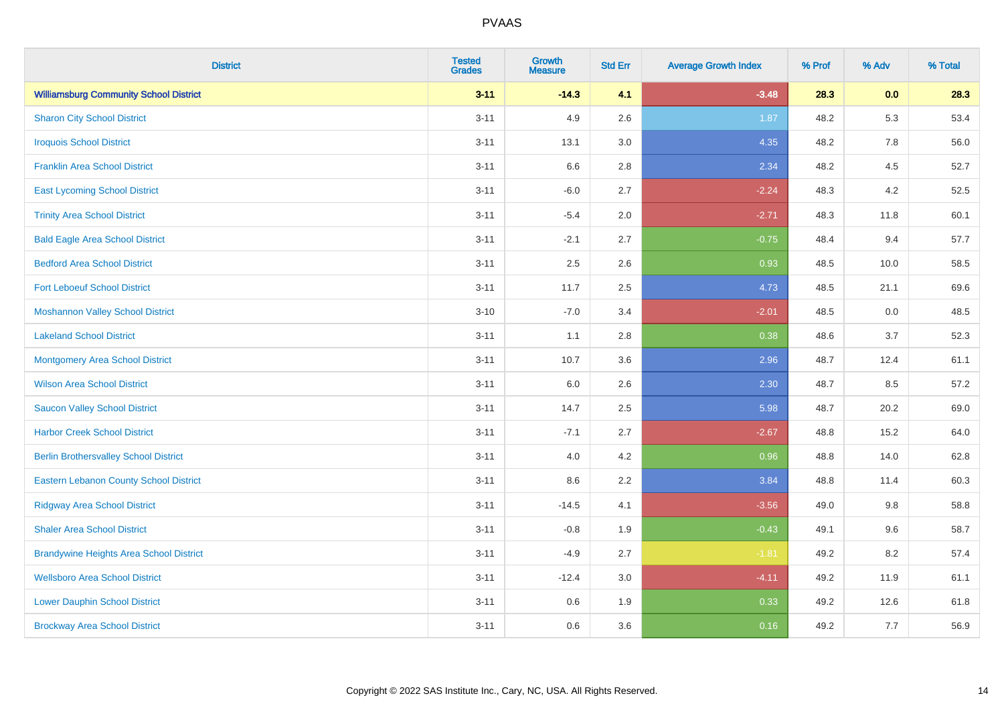| <b>District</b>                                | <b>Tested</b><br><b>Grades</b> | <b>Growth</b><br><b>Measure</b> | <b>Std Err</b> | <b>Average Growth Index</b> | % Prof | % Adv   | % Total |
|------------------------------------------------|--------------------------------|---------------------------------|----------------|-----------------------------|--------|---------|---------|
| <b>Williamsburg Community School District</b>  | $3 - 11$                       | $-14.3$                         | 4.1            | $-3.48$                     | 28.3   | 0.0     | 28.3    |
| <b>Sharon City School District</b>             | $3 - 11$                       | 4.9                             | 2.6            | 1.87                        | 48.2   | 5.3     | 53.4    |
| <b>Iroquois School District</b>                | $3 - 11$                       | 13.1                            | 3.0            | 4.35                        | 48.2   | 7.8     | 56.0    |
| <b>Franklin Area School District</b>           | $3 - 11$                       | 6.6                             | 2.8            | 2.34                        | 48.2   | 4.5     | 52.7    |
| <b>East Lycoming School District</b>           | $3 - 11$                       | $-6.0$                          | 2.7            | $-2.24$                     | 48.3   | 4.2     | 52.5    |
| <b>Trinity Area School District</b>            | $3 - 11$                       | $-5.4$                          | 2.0            | $-2.71$                     | 48.3   | 11.8    | 60.1    |
| <b>Bald Eagle Area School District</b>         | $3 - 11$                       | $-2.1$                          | 2.7            | $-0.75$                     | 48.4   | 9.4     | 57.7    |
| <b>Bedford Area School District</b>            | $3 - 11$                       | 2.5                             | 2.6            | 0.93                        | 48.5   | 10.0    | 58.5    |
| <b>Fort Leboeuf School District</b>            | $3 - 11$                       | 11.7                            | 2.5            | 4.73                        | 48.5   | 21.1    | 69.6    |
| <b>Moshannon Valley School District</b>        | $3 - 10$                       | $-7.0$                          | 3.4            | $-2.01$                     | 48.5   | 0.0     | 48.5    |
| <b>Lakeland School District</b>                | $3 - 11$                       | 1.1                             | 2.8            | 0.38                        | 48.6   | 3.7     | 52.3    |
| <b>Montgomery Area School District</b>         | $3 - 11$                       | 10.7                            | 3.6            | 2.96                        | 48.7   | 12.4    | 61.1    |
| <b>Wilson Area School District</b>             | $3 - 11$                       | 6.0                             | 2.6            | 2.30                        | 48.7   | 8.5     | 57.2    |
| <b>Saucon Valley School District</b>           | $3 - 11$                       | 14.7                            | 2.5            | 5.98                        | 48.7   | 20.2    | 69.0    |
| <b>Harbor Creek School District</b>            | $3 - 11$                       | $-7.1$                          | 2.7            | $-2.67$                     | 48.8   | 15.2    | 64.0    |
| <b>Berlin Brothersvalley School District</b>   | $3 - 11$                       | 4.0                             | 4.2            | 0.96                        | 48.8   | 14.0    | 62.8    |
| <b>Eastern Lebanon County School District</b>  | $3 - 11$                       | 8.6                             | 2.2            | 3.84                        | 48.8   | 11.4    | 60.3    |
| <b>Ridgway Area School District</b>            | $3 - 11$                       | $-14.5$                         | 4.1            | $-3.56$                     | 49.0   | $9.8\,$ | 58.8    |
| <b>Shaler Area School District</b>             | $3 - 11$                       | $-0.8$                          | 1.9            | $-0.43$                     | 49.1   | 9.6     | 58.7    |
| <b>Brandywine Heights Area School District</b> | $3 - 11$                       | $-4.9$                          | 2.7            | $-1.81$                     | 49.2   | 8.2     | 57.4    |
| <b>Wellsboro Area School District</b>          | $3 - 11$                       | $-12.4$                         | 3.0            | $-4.11$                     | 49.2   | 11.9    | 61.1    |
| <b>Lower Dauphin School District</b>           | $3 - 11$                       | 0.6                             | 1.9            | 0.33                        | 49.2   | 12.6    | 61.8    |
| <b>Brockway Area School District</b>           | $3 - 11$                       | 0.6                             | 3.6            | 0.16                        | 49.2   | 7.7     | 56.9    |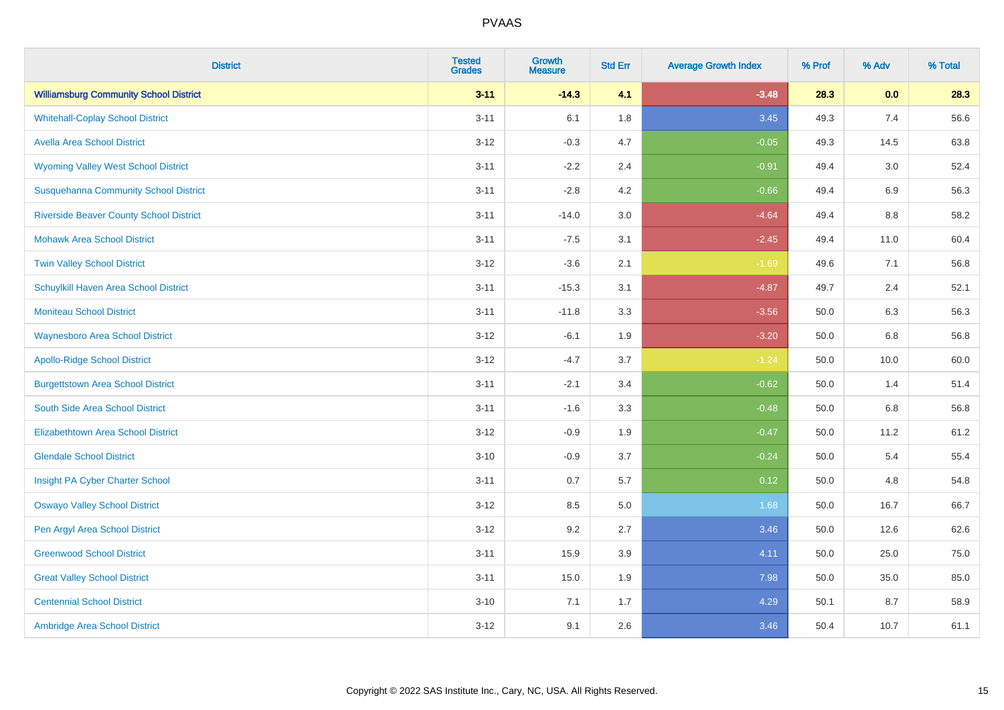| <b>District</b>                                | <b>Tested</b><br><b>Grades</b> | <b>Growth</b><br><b>Measure</b> | <b>Std Err</b> | <b>Average Growth Index</b> | % Prof | % Adv | % Total |
|------------------------------------------------|--------------------------------|---------------------------------|----------------|-----------------------------|--------|-------|---------|
| <b>Williamsburg Community School District</b>  | $3 - 11$                       | $-14.3$                         | 4.1            | $-3.48$                     | 28.3   | 0.0   | 28.3    |
| <b>Whitehall-Coplay School District</b>        | $3 - 11$                       | 6.1                             | 1.8            | 3.45                        | 49.3   | 7.4   | 56.6    |
| <b>Avella Area School District</b>             | $3 - 12$                       | $-0.3$                          | 4.7            | $-0.05$                     | 49.3   | 14.5  | 63.8    |
| <b>Wyoming Valley West School District</b>     | $3 - 11$                       | $-2.2$                          | 2.4            | $-0.91$                     | 49.4   | 3.0   | 52.4    |
| <b>Susquehanna Community School District</b>   | $3 - 11$                       | $-2.8$                          | 4.2            | $-0.66$                     | 49.4   | 6.9   | 56.3    |
| <b>Riverside Beaver County School District</b> | $3 - 11$                       | $-14.0$                         | 3.0            | $-4.64$                     | 49.4   | 8.8   | 58.2    |
| <b>Mohawk Area School District</b>             | $3 - 11$                       | $-7.5$                          | 3.1            | $-2.45$                     | 49.4   | 11.0  | 60.4    |
| <b>Twin Valley School District</b>             | $3 - 12$                       | $-3.6$                          | 2.1            | $-1.69$                     | 49.6   | 7.1   | 56.8    |
| Schuylkill Haven Area School District          | $3 - 11$                       | $-15.3$                         | 3.1            | $-4.87$                     | 49.7   | 2.4   | 52.1    |
| <b>Moniteau School District</b>                | $3 - 11$                       | $-11.8$                         | 3.3            | $-3.56$                     | 50.0   | 6.3   | 56.3    |
| <b>Waynesboro Area School District</b>         | $3 - 12$                       | $-6.1$                          | 1.9            | $-3.20$                     | 50.0   | 6.8   | 56.8    |
| <b>Apollo-Ridge School District</b>            | $3 - 12$                       | $-4.7$                          | 3.7            | $-1.24$                     | 50.0   | 10.0  | 60.0    |
| <b>Burgettstown Area School District</b>       | $3 - 11$                       | $-2.1$                          | 3.4            | $-0.62$                     | 50.0   | 1.4   | 51.4    |
| South Side Area School District                | $3 - 11$                       | $-1.6$                          | 3.3            | $-0.48$                     | 50.0   | 6.8   | 56.8    |
| <b>Elizabethtown Area School District</b>      | $3 - 12$                       | $-0.9$                          | 1.9            | $-0.47$                     | 50.0   | 11.2  | 61.2    |
| <b>Glendale School District</b>                | $3 - 10$                       | $-0.9$                          | 3.7            | $-0.24$                     | 50.0   | 5.4   | 55.4    |
| Insight PA Cyber Charter School                | $3 - 11$                       | 0.7                             | 5.7            | 0.12                        | 50.0   | 4.8   | 54.8    |
| <b>Oswayo Valley School District</b>           | $3 - 12$                       | 8.5                             | 5.0            | 1.68                        | 50.0   | 16.7  | 66.7    |
| Pen Argyl Area School District                 | $3 - 12$                       | 9.2                             | 2.7            | 3.46                        | 50.0   | 12.6  | 62.6    |
| <b>Greenwood School District</b>               | $3 - 11$                       | 15.9                            | 3.9            | 4.11                        | 50.0   | 25.0  | 75.0    |
| <b>Great Valley School District</b>            | $3 - 11$                       | 15.0                            | 1.9            | 7.98                        | 50.0   | 35.0  | 85.0    |
| <b>Centennial School District</b>              | $3 - 10$                       | 7.1                             | 1.7            | 4.29                        | 50.1   | 8.7   | 58.9    |
| Ambridge Area School District                  | $3 - 12$                       | 9.1                             | 2.6            | 3.46                        | 50.4   | 10.7  | 61.1    |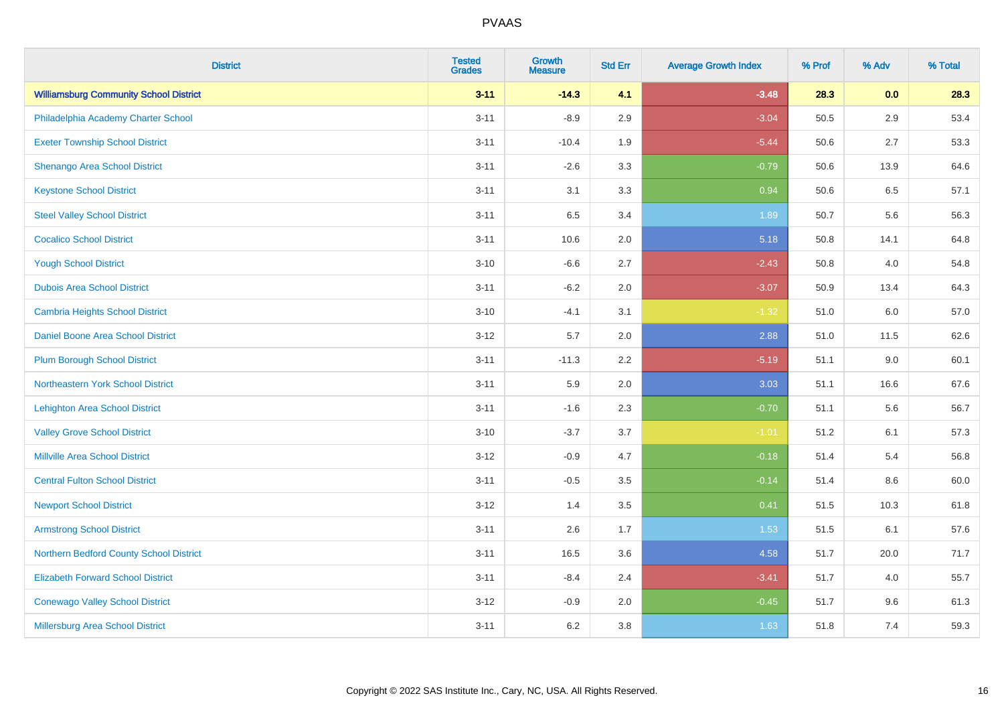| <b>District</b>                               | <b>Tested</b><br><b>Grades</b> | <b>Growth</b><br><b>Measure</b> | <b>Std Err</b> | <b>Average Growth Index</b> | % Prof | % Adv   | % Total |
|-----------------------------------------------|--------------------------------|---------------------------------|----------------|-----------------------------|--------|---------|---------|
| <b>Williamsburg Community School District</b> | $3 - 11$                       | $-14.3$                         | 4.1            | $-3.48$                     | 28.3   | 0.0     | 28.3    |
| Philadelphia Academy Charter School           | $3 - 11$                       | $-8.9$                          | 2.9            | $-3.04$                     | 50.5   | $2.9\,$ | 53.4    |
| <b>Exeter Township School District</b>        | $3 - 11$                       | $-10.4$                         | 1.9            | $-5.44$                     | 50.6   | 2.7     | 53.3    |
| Shenango Area School District                 | $3 - 11$                       | $-2.6$                          | 3.3            | $-0.79$                     | 50.6   | 13.9    | 64.6    |
| <b>Keystone School District</b>               | $3 - 11$                       | 3.1                             | 3.3            | 0.94                        | 50.6   | 6.5     | 57.1    |
| <b>Steel Valley School District</b>           | $3 - 11$                       | 6.5                             | 3.4            | 1.89                        | 50.7   | 5.6     | 56.3    |
| <b>Cocalico School District</b>               | $3 - 11$                       | 10.6                            | 2.0            | 5.18                        | 50.8   | 14.1    | 64.8    |
| <b>Yough School District</b>                  | $3 - 10$                       | $-6.6$                          | 2.7            | $-2.43$                     | 50.8   | 4.0     | 54.8    |
| <b>Dubois Area School District</b>            | $3 - 11$                       | $-6.2$                          | 2.0            | $-3.07$                     | 50.9   | 13.4    | 64.3    |
| <b>Cambria Heights School District</b>        | $3 - 10$                       | $-4.1$                          | 3.1            | $-1.32$                     | 51.0   | 6.0     | 57.0    |
| Daniel Boone Area School District             | $3 - 12$                       | 5.7                             | 2.0            | 2.88                        | 51.0   | 11.5    | 62.6    |
| <b>Plum Borough School District</b>           | $3 - 11$                       | $-11.3$                         | 2.2            | $-5.19$                     | 51.1   | 9.0     | 60.1    |
| Northeastern York School District             | $3 - 11$                       | 5.9                             | 2.0            | 3.03                        | 51.1   | 16.6    | 67.6    |
| <b>Lehighton Area School District</b>         | $3 - 11$                       | $-1.6$                          | 2.3            | $-0.70$                     | 51.1   | 5.6     | 56.7    |
| <b>Valley Grove School District</b>           | $3 - 10$                       | $-3.7$                          | 3.7            | $-1.01$                     | 51.2   | 6.1     | 57.3    |
| <b>Millville Area School District</b>         | $3 - 12$                       | $-0.9$                          | 4.7            | $-0.18$                     | 51.4   | 5.4     | 56.8    |
| <b>Central Fulton School District</b>         | $3 - 11$                       | $-0.5$                          | 3.5            | $-0.14$                     | 51.4   | $8.6\,$ | 60.0    |
| <b>Newport School District</b>                | $3 - 12$                       | 1.4                             | 3.5            | 0.41                        | 51.5   | 10.3    | 61.8    |
| <b>Armstrong School District</b>              | $3 - 11$                       | 2.6                             | 1.7            | 1.53                        | 51.5   | 6.1     | 57.6    |
| Northern Bedford County School District       | $3 - 11$                       | 16.5                            | 3.6            | 4.58                        | 51.7   | 20.0    | 71.7    |
| <b>Elizabeth Forward School District</b>      | $3 - 11$                       | $-8.4$                          | 2.4            | $-3.41$                     | 51.7   | 4.0     | 55.7    |
| <b>Conewago Valley School District</b>        | $3 - 12$                       | $-0.9$                          | 2.0            | $-0.45$                     | 51.7   | 9.6     | 61.3    |
| Millersburg Area School District              | $3 - 11$                       | 6.2                             | 3.8            | 1.63                        | 51.8   | 7.4     | 59.3    |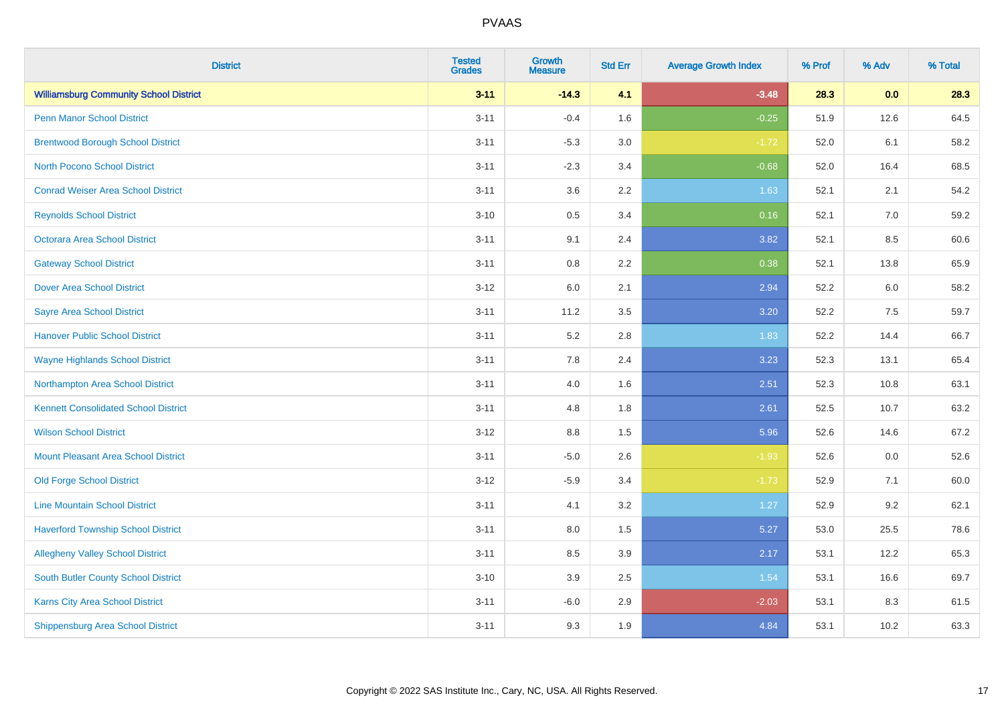| <b>District</b>                               | <b>Tested</b><br><b>Grades</b> | <b>Growth</b><br><b>Measure</b> | <b>Std Err</b> | <b>Average Growth Index</b> | % Prof | % Adv | % Total |
|-----------------------------------------------|--------------------------------|---------------------------------|----------------|-----------------------------|--------|-------|---------|
| <b>Williamsburg Community School District</b> | $3 - 11$                       | $-14.3$                         | 4.1            | $-3.48$                     | 28.3   | 0.0   | 28.3    |
| <b>Penn Manor School District</b>             | $3 - 11$                       | $-0.4$                          | 1.6            | $-0.25$                     | 51.9   | 12.6  | 64.5    |
| <b>Brentwood Borough School District</b>      | $3 - 11$                       | $-5.3$                          | 3.0            | $-1.72$                     | 52.0   | 6.1   | 58.2    |
| North Pocono School District                  | $3 - 11$                       | $-2.3$                          | 3.4            | $-0.68$                     | 52.0   | 16.4  | 68.5    |
| <b>Conrad Weiser Area School District</b>     | $3 - 11$                       | 3.6                             | 2.2            | 1.63                        | 52.1   | 2.1   | 54.2    |
| <b>Reynolds School District</b>               | $3 - 10$                       | 0.5                             | 3.4            | 0.16                        | 52.1   | 7.0   | 59.2    |
| Octorara Area School District                 | $3 - 11$                       | 9.1                             | 2.4            | 3.82                        | 52.1   | 8.5   | 60.6    |
| <b>Gateway School District</b>                | $3 - 11$                       | 0.8                             | 2.2            | 0.38                        | 52.1   | 13.8  | 65.9    |
| <b>Dover Area School District</b>             | $3 - 12$                       | 6.0                             | 2.1            | 2.94                        | 52.2   | 6.0   | 58.2    |
| Sayre Area School District                    | $3 - 11$                       | 11.2                            | 3.5            | 3.20                        | 52.2   | 7.5   | 59.7    |
| <b>Hanover Public School District</b>         | $3 - 11$                       | 5.2                             | 2.8            | 1.83                        | 52.2   | 14.4  | 66.7    |
| <b>Wayne Highlands School District</b>        | $3 - 11$                       | 7.8                             | 2.4            | 3.23                        | 52.3   | 13.1  | 65.4    |
| Northampton Area School District              | $3 - 11$                       | 4.0                             | 1.6            | 2.51                        | 52.3   | 10.8  | 63.1    |
| <b>Kennett Consolidated School District</b>   | $3 - 11$                       | 4.8                             | 1.8            | 2.61                        | 52.5   | 10.7  | 63.2    |
| <b>Wilson School District</b>                 | $3 - 12$                       | $8.8\,$                         | 1.5            | 5.96                        | 52.6   | 14.6  | 67.2    |
| <b>Mount Pleasant Area School District</b>    | $3 - 11$                       | $-5.0$                          | 2.6            | $-1.93$                     | 52.6   | 0.0   | 52.6    |
| <b>Old Forge School District</b>              | $3 - 12$                       | $-5.9$                          | 3.4            | $-1.73$                     | 52.9   | 7.1   | 60.0    |
| <b>Line Mountain School District</b>          | $3 - 11$                       | 4.1                             | 3.2            | 1.27                        | 52.9   | 9.2   | 62.1    |
| <b>Haverford Township School District</b>     | $3 - 11$                       | $8.0\,$                         | 1.5            | 5.27                        | 53.0   | 25.5  | 78.6    |
| <b>Allegheny Valley School District</b>       | $3 - 11$                       | 8.5                             | 3.9            | 2.17                        | 53.1   | 12.2  | 65.3    |
| <b>South Butler County School District</b>    | $3 - 10$                       | 3.9                             | 2.5            | 1.54                        | 53.1   | 16.6  | 69.7    |
| <b>Karns City Area School District</b>        | $3 - 11$                       | $-6.0$                          | 2.9            | $-2.03$                     | 53.1   | 8.3   | 61.5    |
| <b>Shippensburg Area School District</b>      | $3 - 11$                       | 9.3                             | 1.9            | 4.84                        | 53.1   | 10.2  | 63.3    |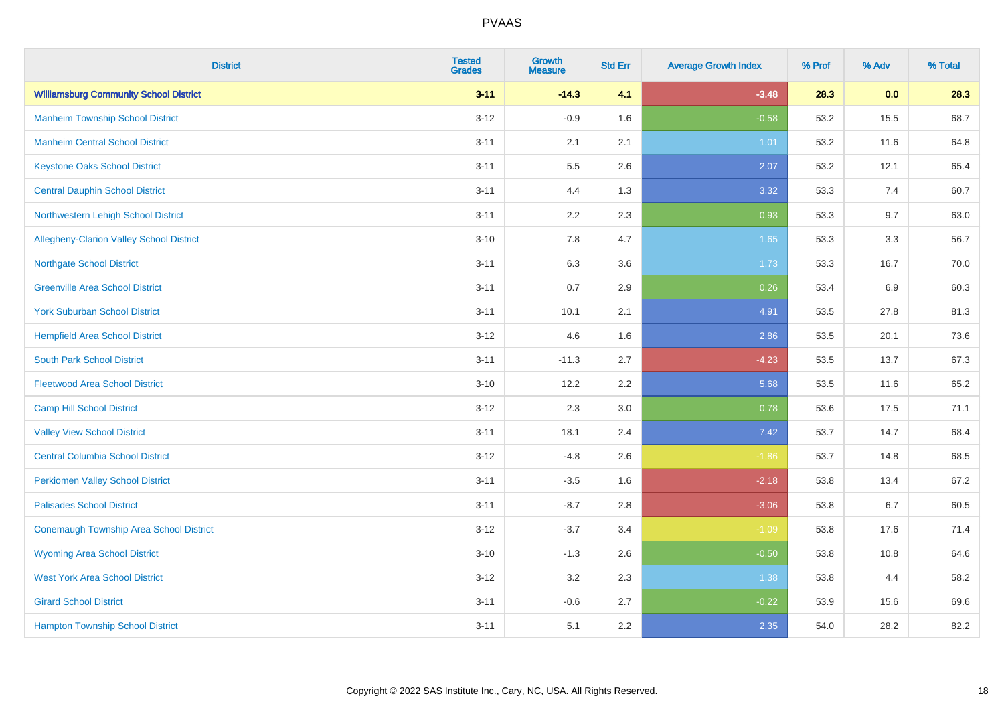| <b>District</b>                                | <b>Tested</b><br><b>Grades</b> | Growth<br><b>Measure</b> | <b>Std Err</b> | <b>Average Growth Index</b> | % Prof | % Adv | % Total |
|------------------------------------------------|--------------------------------|--------------------------|----------------|-----------------------------|--------|-------|---------|
| <b>Williamsburg Community School District</b>  | $3 - 11$                       | $-14.3$                  | 4.1            | $-3.48$                     | 28.3   | 0.0   | 28.3    |
| <b>Manheim Township School District</b>        | $3 - 12$                       | $-0.9$                   | 1.6            | $-0.58$                     | 53.2   | 15.5  | 68.7    |
| <b>Manheim Central School District</b>         | $3 - 11$                       | 2.1                      | 2.1            | 1.01                        | 53.2   | 11.6  | 64.8    |
| <b>Keystone Oaks School District</b>           | $3 - 11$                       | 5.5                      | 2.6            | 2.07                        | 53.2   | 12.1  | 65.4    |
| <b>Central Dauphin School District</b>         | $3 - 11$                       | 4.4                      | 1.3            | 3.32                        | 53.3   | 7.4   | 60.7    |
| Northwestern Lehigh School District            | $3 - 11$                       | 2.2                      | 2.3            | 0.93                        | 53.3   | 9.7   | 63.0    |
| Allegheny-Clarion Valley School District       | $3 - 10$                       | 7.8                      | 4.7            | 1.65                        | 53.3   | 3.3   | 56.7    |
| <b>Northgate School District</b>               | $3 - 11$                       | 6.3                      | 3.6            | 1.73                        | 53.3   | 16.7  | 70.0    |
| <b>Greenville Area School District</b>         | $3 - 11$                       | 0.7                      | 2.9            | 0.26                        | 53.4   | 6.9   | 60.3    |
| <b>York Suburban School District</b>           | $3 - 11$                       | 10.1                     | 2.1            | 4.91                        | 53.5   | 27.8  | 81.3    |
| <b>Hempfield Area School District</b>          | $3 - 12$                       | 4.6                      | 1.6            | 2.86                        | 53.5   | 20.1  | 73.6    |
| <b>South Park School District</b>              | $3 - 11$                       | $-11.3$                  | 2.7            | $-4.23$                     | 53.5   | 13.7  | 67.3    |
| <b>Fleetwood Area School District</b>          | $3 - 10$                       | 12.2                     | 2.2            | 5.68                        | 53.5   | 11.6  | 65.2    |
| <b>Camp Hill School District</b>               | $3 - 12$                       | 2.3                      | 3.0            | 0.78                        | 53.6   | 17.5  | 71.1    |
| <b>Valley View School District</b>             | $3 - 11$                       | 18.1                     | 2.4            | 7.42                        | 53.7   | 14.7  | 68.4    |
| <b>Central Columbia School District</b>        | $3 - 12$                       | $-4.8$                   | 2.6            | $-1.86$                     | 53.7   | 14.8  | 68.5    |
| <b>Perkiomen Valley School District</b>        | $3 - 11$                       | $-3.5$                   | 1.6            | $-2.18$                     | 53.8   | 13.4  | 67.2    |
| <b>Palisades School District</b>               | $3 - 11$                       | $-8.7$                   | 2.8            | $-3.06$                     | 53.8   | 6.7   | 60.5    |
| <b>Conemaugh Township Area School District</b> | $3 - 12$                       | $-3.7$                   | 3.4            | $-1.09$                     | 53.8   | 17.6  | 71.4    |
| <b>Wyoming Area School District</b>            | $3 - 10$                       | $-1.3$                   | 2.6            | $-0.50$                     | 53.8   | 10.8  | 64.6    |
| <b>West York Area School District</b>          | $3 - 12$                       | 3.2                      | 2.3            | 1.38                        | 53.8   | 4.4   | 58.2    |
| <b>Girard School District</b>                  | $3 - 11$                       | $-0.6$                   | 2.7            | $-0.22$                     | 53.9   | 15.6  | 69.6    |
| <b>Hampton Township School District</b>        | $3 - 11$                       | 5.1                      | 2.2            | 2.35                        | 54.0   | 28.2  | 82.2    |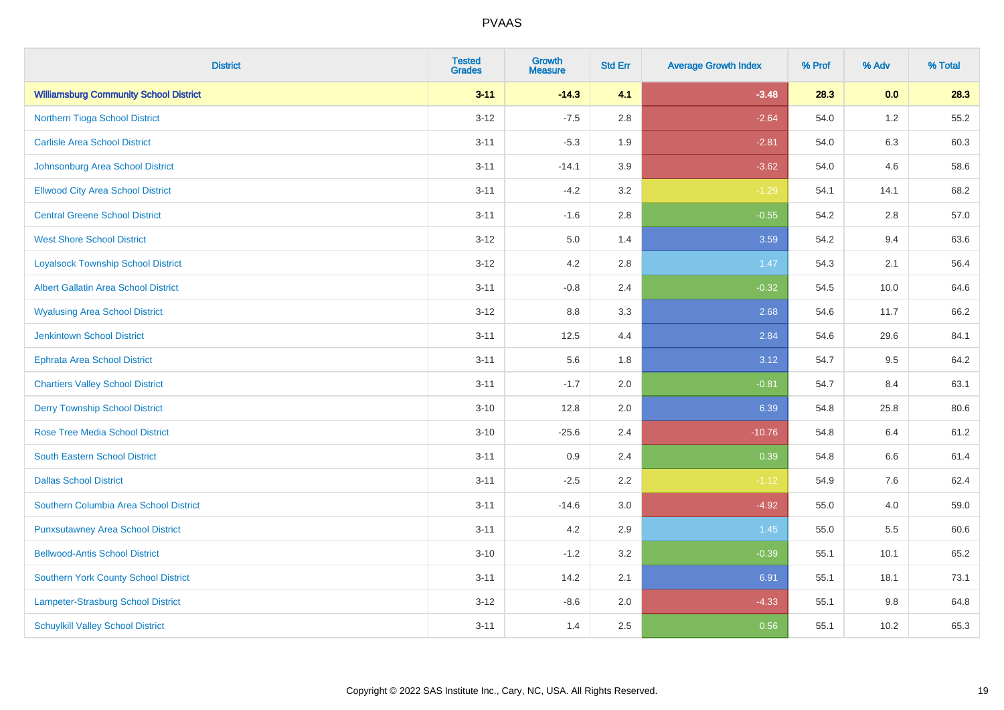| <b>District</b>                               | <b>Tested</b><br><b>Grades</b> | <b>Growth</b><br><b>Measure</b> | <b>Std Err</b> | <b>Average Growth Index</b> | % Prof | % Adv   | % Total |
|-----------------------------------------------|--------------------------------|---------------------------------|----------------|-----------------------------|--------|---------|---------|
| <b>Williamsburg Community School District</b> | $3 - 11$                       | $-14.3$                         | 4.1            | $-3.48$                     | 28.3   | 0.0     | 28.3    |
| Northern Tioga School District                | $3 - 12$                       | $-7.5$                          | 2.8            | $-2.64$                     | 54.0   | $1.2\,$ | 55.2    |
| <b>Carlisle Area School District</b>          | $3 - 11$                       | $-5.3$                          | 1.9            | $-2.81$                     | 54.0   | 6.3     | 60.3    |
| Johnsonburg Area School District              | $3 - 11$                       | $-14.1$                         | 3.9            | $-3.62$                     | 54.0   | 4.6     | 58.6    |
| <b>Ellwood City Area School District</b>      | $3 - 11$                       | $-4.2$                          | 3.2            | $-1.29$                     | 54.1   | 14.1    | 68.2    |
| <b>Central Greene School District</b>         | $3 - 11$                       | $-1.6$                          | 2.8            | $-0.55$                     | 54.2   | 2.8     | 57.0    |
| <b>West Shore School District</b>             | $3 - 12$                       | 5.0                             | 1.4            | 3.59                        | 54.2   | 9.4     | 63.6    |
| <b>Loyalsock Township School District</b>     | $3 - 12$                       | 4.2                             | 2.8            | 1.47                        | 54.3   | 2.1     | 56.4    |
| <b>Albert Gallatin Area School District</b>   | $3 - 11$                       | $-0.8$                          | 2.4            | $-0.32$                     | 54.5   | 10.0    | 64.6    |
| <b>Wyalusing Area School District</b>         | $3 - 12$                       | 8.8                             | 3.3            | 2.68                        | 54.6   | 11.7    | 66.2    |
| <b>Jenkintown School District</b>             | $3 - 11$                       | 12.5                            | 4.4            | 2.84                        | 54.6   | 29.6    | 84.1    |
| <b>Ephrata Area School District</b>           | $3 - 11$                       | 5.6                             | 1.8            | 3.12                        | 54.7   | 9.5     | 64.2    |
| <b>Chartiers Valley School District</b>       | $3 - 11$                       | $-1.7$                          | 2.0            | $-0.81$                     | 54.7   | 8.4     | 63.1    |
| <b>Derry Township School District</b>         | $3 - 10$                       | 12.8                            | 2.0            | 6.39                        | 54.8   | 25.8    | 80.6    |
| <b>Rose Tree Media School District</b>        | $3 - 10$                       | $-25.6$                         | 2.4            | $-10.76$                    | 54.8   | 6.4     | 61.2    |
| <b>South Eastern School District</b>          | $3 - 11$                       | 0.9                             | 2.4            | 0.39                        | 54.8   | $6.6\,$ | 61.4    |
| <b>Dallas School District</b>                 | $3 - 11$                       | $-2.5$                          | 2.2            | $-1.12$                     | 54.9   | 7.6     | 62.4    |
| Southern Columbia Area School District        | $3 - 11$                       | $-14.6$                         | 3.0            | $-4.92$                     | 55.0   | 4.0     | 59.0    |
| <b>Punxsutawney Area School District</b>      | $3 - 11$                       | 4.2                             | 2.9            | 1.45                        | 55.0   | 5.5     | 60.6    |
| <b>Bellwood-Antis School District</b>         | $3 - 10$                       | $-1.2$                          | 3.2            | $-0.39$                     | 55.1   | 10.1    | 65.2    |
| <b>Southern York County School District</b>   | $3 - 11$                       | 14.2                            | 2.1            | 6.91                        | 55.1   | 18.1    | 73.1    |
| Lampeter-Strasburg School District            | $3 - 12$                       | $-8.6$                          | 2.0            | $-4.33$                     | 55.1   | 9.8     | 64.8    |
| <b>Schuylkill Valley School District</b>      | $3 - 11$                       | 1.4                             | 2.5            | 0.56                        | 55.1   | 10.2    | 65.3    |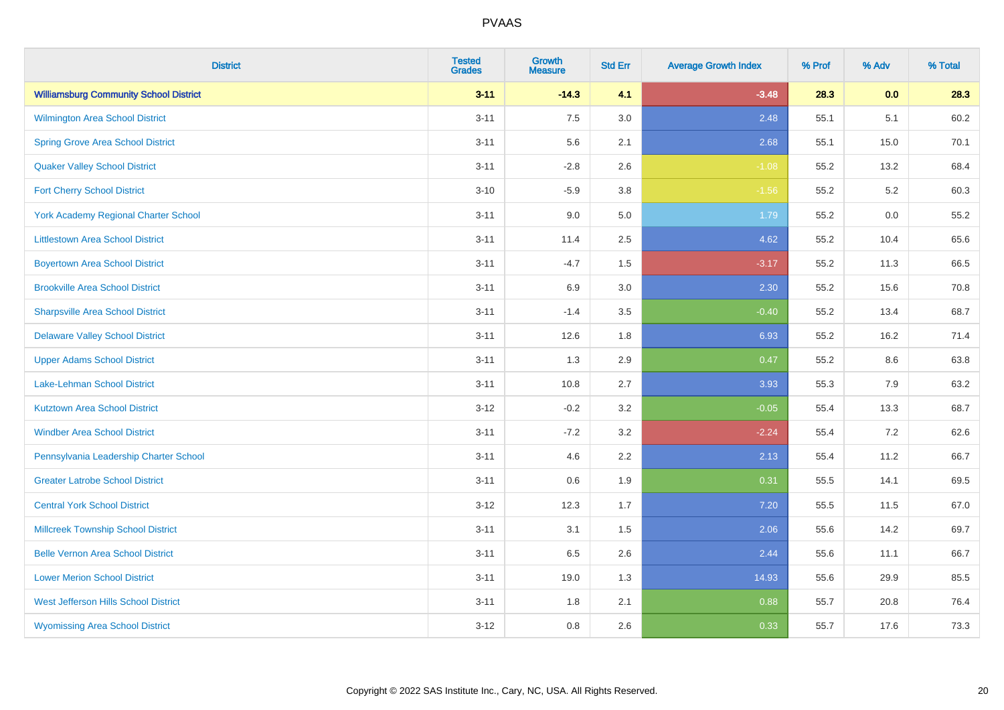| <b>District</b>                               | <b>Tested</b><br><b>Grades</b> | <b>Growth</b><br><b>Measure</b> | <b>Std Err</b> | <b>Average Growth Index</b> | % Prof | % Adv | % Total |
|-----------------------------------------------|--------------------------------|---------------------------------|----------------|-----------------------------|--------|-------|---------|
| <b>Williamsburg Community School District</b> | $3 - 11$                       | $-14.3$                         | 4.1            | $-3.48$                     | 28.3   | 0.0   | 28.3    |
| <b>Wilmington Area School District</b>        | $3 - 11$                       | 7.5                             | 3.0            | 2.48                        | 55.1   | 5.1   | 60.2    |
| <b>Spring Grove Area School District</b>      | $3 - 11$                       | 5.6                             | 2.1            | 2.68                        | 55.1   | 15.0  | 70.1    |
| <b>Quaker Valley School District</b>          | $3 - 11$                       | $-2.8$                          | 2.6            | $-1.08$                     | 55.2   | 13.2  | 68.4    |
| <b>Fort Cherry School District</b>            | $3 - 10$                       | $-5.9$                          | 3.8            | $-1.56$                     | 55.2   | 5.2   | 60.3    |
| <b>York Academy Regional Charter School</b>   | $3 - 11$                       | 9.0                             | 5.0            | 1.79                        | 55.2   | 0.0   | 55.2    |
| <b>Littlestown Area School District</b>       | $3 - 11$                       | 11.4                            | 2.5            | 4.62                        | 55.2   | 10.4  | 65.6    |
| <b>Boyertown Area School District</b>         | $3 - 11$                       | $-4.7$                          | 1.5            | $-3.17$                     | 55.2   | 11.3  | 66.5    |
| <b>Brookville Area School District</b>        | $3 - 11$                       | 6.9                             | 3.0            | 2.30                        | 55.2   | 15.6  | 70.8    |
| <b>Sharpsville Area School District</b>       | $3 - 11$                       | $-1.4$                          | 3.5            | $-0.40$                     | 55.2   | 13.4  | 68.7    |
| <b>Delaware Valley School District</b>        | $3 - 11$                       | 12.6                            | 1.8            | 6.93                        | 55.2   | 16.2  | 71.4    |
| <b>Upper Adams School District</b>            | $3 - 11$                       | 1.3                             | 2.9            | 0.47                        | 55.2   | 8.6   | 63.8    |
| Lake-Lehman School District                   | $3 - 11$                       | 10.8                            | 2.7            | 3.93                        | 55.3   | 7.9   | 63.2    |
| <b>Kutztown Area School District</b>          | $3 - 12$                       | $-0.2$                          | 3.2            | $-0.05$                     | 55.4   | 13.3  | 68.7    |
| <b>Windber Area School District</b>           | $3 - 11$                       | $-7.2$                          | 3.2            | $-2.24$                     | 55.4   | 7.2   | 62.6    |
| Pennsylvania Leadership Charter School        | $3 - 11$                       | 4.6                             | 2.2            | 2.13                        | 55.4   | 11.2  | 66.7    |
| <b>Greater Latrobe School District</b>        | $3 - 11$                       | 0.6                             | 1.9            | 0.31                        | 55.5   | 14.1  | 69.5    |
| <b>Central York School District</b>           | $3 - 12$                       | 12.3                            | 1.7            | 7.20                        | 55.5   | 11.5  | 67.0    |
| <b>Millcreek Township School District</b>     | $3 - 11$                       | 3.1                             | 1.5            | 2.06                        | 55.6   | 14.2  | 69.7    |
| <b>Belle Vernon Area School District</b>      | $3 - 11$                       | 6.5                             | 2.6            | 2.44                        | 55.6   | 11.1  | 66.7    |
| <b>Lower Merion School District</b>           | $3 - 11$                       | 19.0                            | 1.3            | 14.93                       | 55.6   | 29.9  | 85.5    |
| West Jefferson Hills School District          | $3 - 11$                       | 1.8                             | 2.1            | 0.88                        | 55.7   | 20.8  | 76.4    |
| <b>Wyomissing Area School District</b>        | $3 - 12$                       | $0.8\,$                         | 2.6            | 0.33                        | 55.7   | 17.6  | 73.3    |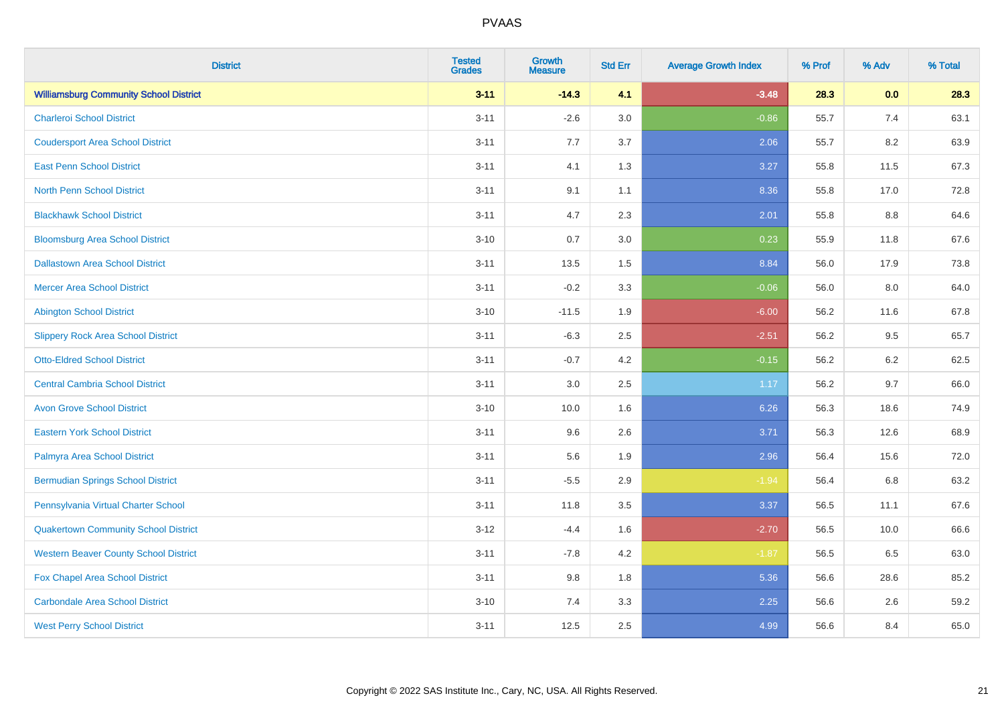| <b>District</b>                               | <b>Tested</b><br><b>Grades</b> | <b>Growth</b><br><b>Measure</b> | <b>Std Err</b> | <b>Average Growth Index</b> | % Prof | % Adv   | % Total |
|-----------------------------------------------|--------------------------------|---------------------------------|----------------|-----------------------------|--------|---------|---------|
| <b>Williamsburg Community School District</b> | $3 - 11$                       | $-14.3$                         | 4.1            | $-3.48$                     | 28.3   | 0.0     | 28.3    |
| <b>Charleroi School District</b>              | $3 - 11$                       | $-2.6$                          | 3.0            | $-0.86$                     | 55.7   | 7.4     | 63.1    |
| <b>Coudersport Area School District</b>       | $3 - 11$                       | 7.7                             | 3.7            | 2.06                        | 55.7   | 8.2     | 63.9    |
| <b>East Penn School District</b>              | $3 - 11$                       | 4.1                             | 1.3            | 3.27                        | 55.8   | 11.5    | 67.3    |
| <b>North Penn School District</b>             | $3 - 11$                       | 9.1                             | 1.1            | 8.36                        | 55.8   | 17.0    | 72.8    |
| <b>Blackhawk School District</b>              | $3 - 11$                       | 4.7                             | 2.3            | 2.01                        | 55.8   | 8.8     | 64.6    |
| <b>Bloomsburg Area School District</b>        | $3 - 10$                       | 0.7                             | 3.0            | 0.23                        | 55.9   | 11.8    | 67.6    |
| <b>Dallastown Area School District</b>        | $3 - 11$                       | 13.5                            | 1.5            | 8.84                        | 56.0   | 17.9    | 73.8    |
| <b>Mercer Area School District</b>            | $3 - 11$                       | $-0.2$                          | 3.3            | $-0.06$                     | 56.0   | 8.0     | 64.0    |
| <b>Abington School District</b>               | $3 - 10$                       | $-11.5$                         | 1.9            | $-6.00$                     | 56.2   | 11.6    | 67.8    |
| <b>Slippery Rock Area School District</b>     | $3 - 11$                       | $-6.3$                          | 2.5            | $-2.51$                     | 56.2   | 9.5     | 65.7    |
| <b>Otto-Eldred School District</b>            | $3 - 11$                       | $-0.7$                          | 4.2            | $-0.15$                     | 56.2   | 6.2     | 62.5    |
| <b>Central Cambria School District</b>        | $3 - 11$                       | 3.0                             | 2.5            | 1.17                        | 56.2   | 9.7     | 66.0    |
| <b>Avon Grove School District</b>             | $3 - 10$                       | 10.0                            | 1.6            | 6.26                        | 56.3   | 18.6    | 74.9    |
| <b>Eastern York School District</b>           | $3 - 11$                       | 9.6                             | 2.6            | 3.71                        | 56.3   | 12.6    | 68.9    |
| Palmyra Area School District                  | $3 - 11$                       | 5.6                             | 1.9            | 2.96                        | 56.4   | 15.6    | 72.0    |
| <b>Bermudian Springs School District</b>      | $3 - 11$                       | $-5.5$                          | 2.9            | $-1.94$                     | 56.4   | $6.8\,$ | 63.2    |
| Pennsylvania Virtual Charter School           | $3 - 11$                       | 11.8                            | 3.5            | 3.37                        | 56.5   | 11.1    | 67.6    |
| <b>Quakertown Community School District</b>   | $3 - 12$                       | $-4.4$                          | 1.6            | $-2.70$                     | 56.5   | 10.0    | 66.6    |
| <b>Western Beaver County School District</b>  | $3 - 11$                       | $-7.8$                          | $4.2\,$        | $-1.87$                     | 56.5   | 6.5     | 63.0    |
| Fox Chapel Area School District               | $3 - 11$                       | 9.8                             | 1.8            | 5.36                        | 56.6   | 28.6    | 85.2    |
| <b>Carbondale Area School District</b>        | $3 - 10$                       | 7.4                             | 3.3            | 2.25                        | 56.6   | 2.6     | 59.2    |
| <b>West Perry School District</b>             | $3 - 11$                       | 12.5                            | 2.5            | 4.99                        | 56.6   | 8.4     | 65.0    |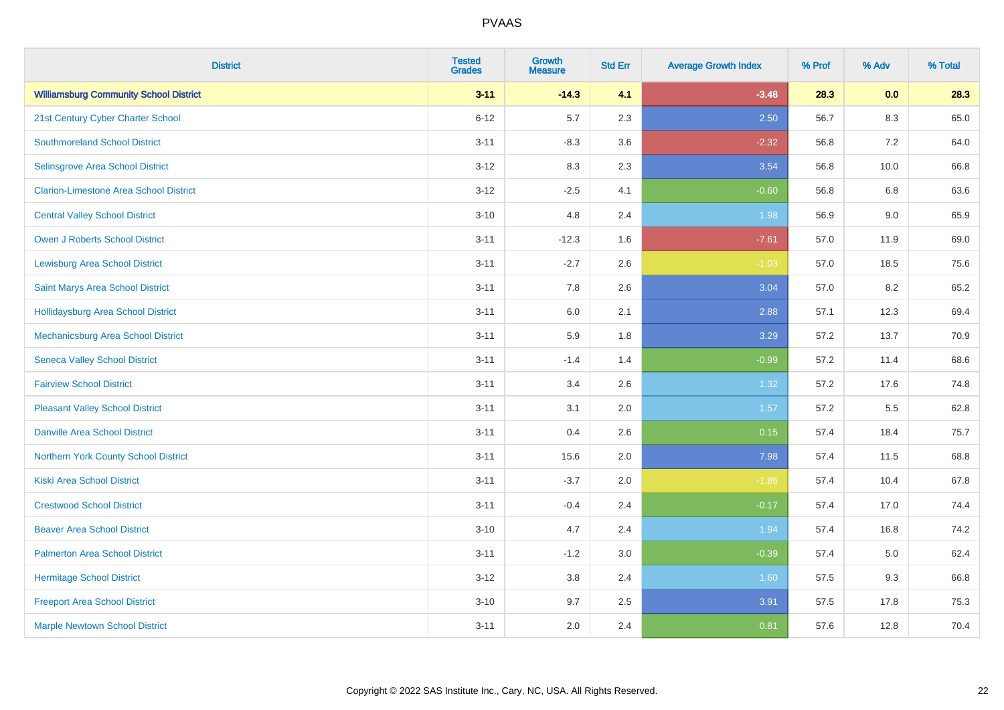| <b>District</b>                               | <b>Tested</b><br><b>Grades</b> | <b>Growth</b><br><b>Measure</b> | <b>Std Err</b> | <b>Average Growth Index</b> | % Prof | % Adv   | % Total |
|-----------------------------------------------|--------------------------------|---------------------------------|----------------|-----------------------------|--------|---------|---------|
| <b>Williamsburg Community School District</b> | $3 - 11$                       | $-14.3$                         | 4.1            | $-3.48$                     | 28.3   | 0.0     | 28.3    |
| 21st Century Cyber Charter School             | $6 - 12$                       | 5.7                             | 2.3            | 2.50                        | 56.7   | $8.3\,$ | 65.0    |
| <b>Southmoreland School District</b>          | $3 - 11$                       | $-8.3$                          | 3.6            | $-2.32$                     | 56.8   | 7.2     | 64.0    |
| Selinsgrove Area School District              | $3 - 12$                       | 8.3                             | 2.3            | 3.54                        | 56.8   | 10.0    | 66.8    |
| <b>Clarion-Limestone Area School District</b> | $3 - 12$                       | $-2.5$                          | 4.1            | $-0.60$                     | 56.8   | 6.8     | 63.6    |
| <b>Central Valley School District</b>         | $3 - 10$                       | 4.8                             | 2.4            | 1.98                        | 56.9   | 9.0     | 65.9    |
| Owen J Roberts School District                | $3 - 11$                       | $-12.3$                         | 1.6            | $-7.61$                     | 57.0   | 11.9    | 69.0    |
| <b>Lewisburg Area School District</b>         | $3 - 11$                       | $-2.7$                          | 2.6            | $-1.03$                     | 57.0   | 18.5    | 75.6    |
| Saint Marys Area School District              | $3 - 11$                       | 7.8                             | 2.6            | 3.04                        | 57.0   | 8.2     | 65.2    |
| <b>Hollidaysburg Area School District</b>     | $3 - 11$                       | 6.0                             | 2.1            | 2.88                        | 57.1   | 12.3    | 69.4    |
| <b>Mechanicsburg Area School District</b>     | $3 - 11$                       | 5.9                             | 1.8            | 3.29                        | 57.2   | 13.7    | 70.9    |
| <b>Seneca Valley School District</b>          | $3 - 11$                       | $-1.4$                          | 1.4            | $-0.99$                     | 57.2   | 11.4    | 68.6    |
| <b>Fairview School District</b>               | $3 - 11$                       | 3.4                             | 2.6            | 1.32                        | 57.2   | 17.6    | 74.8    |
| <b>Pleasant Valley School District</b>        | $3 - 11$                       | 3.1                             | 2.0            | 1.57                        | 57.2   | 5.5     | 62.8    |
| <b>Danville Area School District</b>          | $3 - 11$                       | 0.4                             | 2.6            | 0.15                        | 57.4   | 18.4    | 75.7    |
| <b>Northern York County School District</b>   | $3 - 11$                       | 15.6                            | 2.0            | 7.98                        | 57.4   | 11.5    | 68.8    |
| <b>Kiski Area School District</b>             | $3 - 11$                       | $-3.7$                          | 2.0            | $-1.86$                     | 57.4   | 10.4    | 67.8    |
| <b>Crestwood School District</b>              | $3 - 11$                       | $-0.4$                          | 2.4            | $-0.17$                     | 57.4   | 17.0    | 74.4    |
| <b>Beaver Area School District</b>            | $3 - 10$                       | 4.7                             | 2.4            | 1.94                        | 57.4   | 16.8    | 74.2    |
| <b>Palmerton Area School District</b>         | $3 - 11$                       | $-1.2$                          | 3.0            | $-0.39$                     | 57.4   | 5.0     | 62.4    |
| <b>Hermitage School District</b>              | $3 - 12$                       | 3.8                             | 2.4            | 1.60                        | 57.5   | 9.3     | 66.8    |
| <b>Freeport Area School District</b>          | $3 - 10$                       | 9.7                             | 2.5            | 3.91                        | 57.5   | 17.8    | 75.3    |
| <b>Marple Newtown School District</b>         | $3 - 11$                       | 2.0                             | 2.4            | 0.81                        | 57.6   | 12.8    | 70.4    |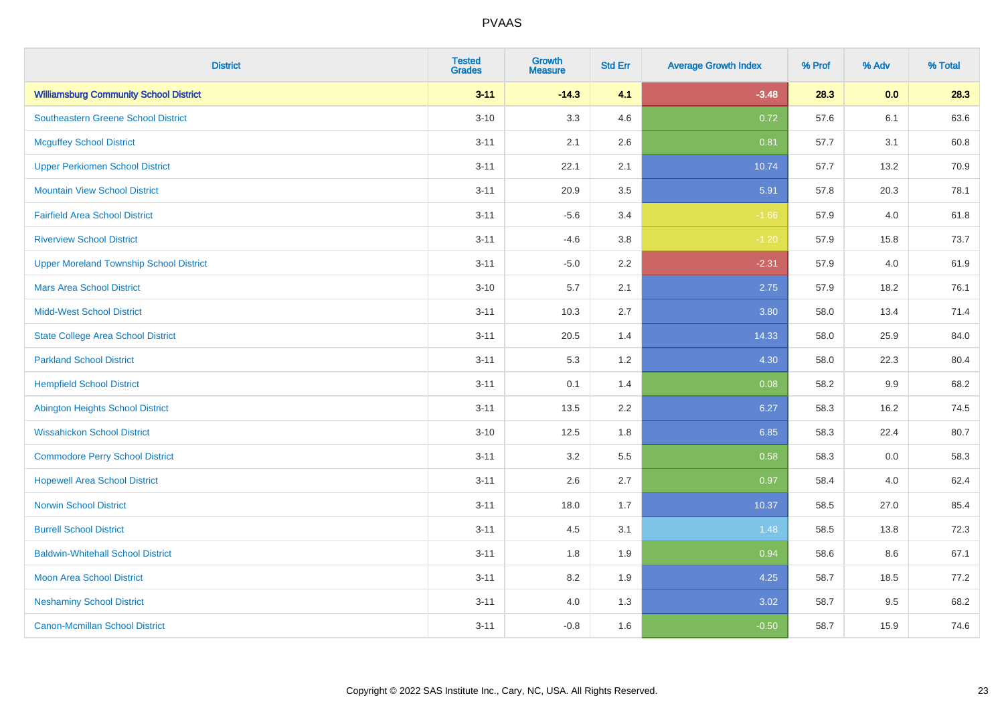| <b>District</b>                                | <b>Tested</b><br><b>Grades</b> | <b>Growth</b><br><b>Measure</b> | <b>Std Err</b> | <b>Average Growth Index</b> | % Prof | % Adv   | % Total |
|------------------------------------------------|--------------------------------|---------------------------------|----------------|-----------------------------|--------|---------|---------|
| <b>Williamsburg Community School District</b>  | $3 - 11$                       | $-14.3$                         | 4.1            | $-3.48$                     | 28.3   | 0.0     | 28.3    |
| <b>Southeastern Greene School District</b>     | $3 - 10$                       | 3.3                             | 4.6            | 0.72                        | 57.6   | 6.1     | 63.6    |
| <b>Mcguffey School District</b>                | $3 - 11$                       | 2.1                             | 2.6            | 0.81                        | 57.7   | 3.1     | 60.8    |
| <b>Upper Perkiomen School District</b>         | $3 - 11$                       | 22.1                            | 2.1            | 10.74                       | 57.7   | 13.2    | 70.9    |
| <b>Mountain View School District</b>           | $3 - 11$                       | 20.9                            | 3.5            | 5.91                        | 57.8   | 20.3    | 78.1    |
| <b>Fairfield Area School District</b>          | $3 - 11$                       | $-5.6$                          | 3.4            | $-1.66$                     | 57.9   | 4.0     | 61.8    |
| <b>Riverview School District</b>               | $3 - 11$                       | $-4.6$                          | 3.8            | $-1.20$                     | 57.9   | 15.8    | 73.7    |
| <b>Upper Moreland Township School District</b> | $3 - 11$                       | $-5.0$                          | 2.2            | $-2.31$                     | 57.9   | 4.0     | 61.9    |
| <b>Mars Area School District</b>               | $3 - 10$                       | 5.7                             | 2.1            | 2.75                        | 57.9   | 18.2    | 76.1    |
| <b>Midd-West School District</b>               | $3 - 11$                       | 10.3                            | 2.7            | 3.80                        | 58.0   | 13.4    | 71.4    |
| <b>State College Area School District</b>      | $3 - 11$                       | 20.5                            | 1.4            | 14.33                       | 58.0   | 25.9    | 84.0    |
| <b>Parkland School District</b>                | $3 - 11$                       | 5.3                             | 1.2            | 4.30                        | 58.0   | 22.3    | 80.4    |
| <b>Hempfield School District</b>               | $3 - 11$                       | 0.1                             | 1.4            | 0.08                        | 58.2   | $9.9\,$ | 68.2    |
| <b>Abington Heights School District</b>        | $3 - 11$                       | 13.5                            | 2.2            | 6.27                        | 58.3   | 16.2    | 74.5    |
| <b>Wissahickon School District</b>             | $3 - 10$                       | 12.5                            | 1.8            | 6.85                        | 58.3   | 22.4    | 80.7    |
| <b>Commodore Perry School District</b>         | $3 - 11$                       | 3.2                             | 5.5            | 0.58                        | 58.3   | 0.0     | 58.3    |
| <b>Hopewell Area School District</b>           | $3 - 11$                       | 2.6                             | 2.7            | 0.97                        | 58.4   | 4.0     | 62.4    |
| <b>Norwin School District</b>                  | $3 - 11$                       | 18.0                            | 1.7            | 10.37                       | 58.5   | 27.0    | 85.4    |
| <b>Burrell School District</b>                 | $3 - 11$                       | 4.5                             | 3.1            | 1.48                        | 58.5   | 13.8    | 72.3    |
| <b>Baldwin-Whitehall School District</b>       | $3 - 11$                       | 1.8                             | 1.9            | 0.94                        | 58.6   | 8.6     | 67.1    |
| <b>Moon Area School District</b>               | $3 - 11$                       | 8.2                             | 1.9            | 4.25                        | 58.7   | 18.5    | 77.2    |
| <b>Neshaminy School District</b>               | $3 - 11$                       | 4.0                             | 1.3            | 3.02                        | 58.7   | 9.5     | 68.2    |
| <b>Canon-Mcmillan School District</b>          | $3 - 11$                       | $-0.8$                          | 1.6            | $-0.50$                     | 58.7   | 15.9    | 74.6    |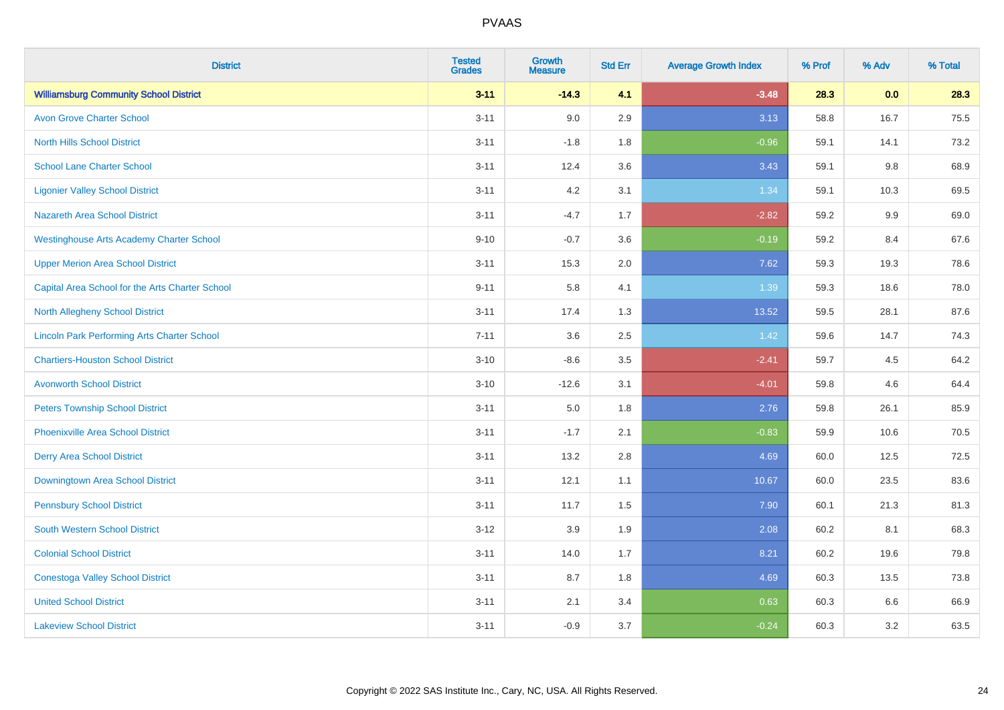| <b>District</b>                                    | <b>Tested</b><br><b>Grades</b> | <b>Growth</b><br><b>Measure</b> | <b>Std Err</b> | <b>Average Growth Index</b> | % Prof | % Adv   | % Total |
|----------------------------------------------------|--------------------------------|---------------------------------|----------------|-----------------------------|--------|---------|---------|
| <b>Williamsburg Community School District</b>      | $3 - 11$                       | $-14.3$                         | 4.1            | $-3.48$                     | 28.3   | 0.0     | 28.3    |
| <b>Avon Grove Charter School</b>                   | $3 - 11$                       | 9.0                             | 2.9            | 3.13                        | 58.8   | 16.7    | 75.5    |
| <b>North Hills School District</b>                 | $3 - 11$                       | $-1.8$                          | 1.8            | $-0.96$                     | 59.1   | 14.1    | 73.2    |
| <b>School Lane Charter School</b>                  | $3 - 11$                       | 12.4                            | 3.6            | 3.43                        | 59.1   | $9.8\,$ | 68.9    |
| <b>Ligonier Valley School District</b>             | $3 - 11$                       | 4.2                             | 3.1            | 1.34                        | 59.1   | 10.3    | 69.5    |
| <b>Nazareth Area School District</b>               | $3 - 11$                       | $-4.7$                          | 1.7            | $-2.82$                     | 59.2   | 9.9     | 69.0    |
| <b>Westinghouse Arts Academy Charter School</b>    | $9 - 10$                       | $-0.7$                          | 3.6            | $-0.19$                     | 59.2   | 8.4     | 67.6    |
| <b>Upper Merion Area School District</b>           | $3 - 11$                       | 15.3                            | 2.0            | 7.62                        | 59.3   | 19.3    | 78.6    |
| Capital Area School for the Arts Charter School    | $9 - 11$                       | 5.8                             | 4.1            | 1.39                        | 59.3   | 18.6    | 78.0    |
| <b>North Allegheny School District</b>             | $3 - 11$                       | 17.4                            | 1.3            | 13.52                       | 59.5   | 28.1    | 87.6    |
| <b>Lincoln Park Performing Arts Charter School</b> | $7 - 11$                       | 3.6                             | 2.5            | 1.42                        | 59.6   | 14.7    | 74.3    |
| <b>Chartiers-Houston School District</b>           | $3 - 10$                       | $-8.6$                          | 3.5            | $-2.41$                     | 59.7   | 4.5     | 64.2    |
| <b>Avonworth School District</b>                   | $3 - 10$                       | $-12.6$                         | 3.1            | $-4.01$                     | 59.8   | 4.6     | 64.4    |
| <b>Peters Township School District</b>             | $3 - 11$                       | $5.0\,$                         | 1.8            | 2.76                        | 59.8   | 26.1    | 85.9    |
| <b>Phoenixville Area School District</b>           | $3 - 11$                       | $-1.7$                          | 2.1            | $-0.83$                     | 59.9   | 10.6    | 70.5    |
| <b>Derry Area School District</b>                  | $3 - 11$                       | 13.2                            | 2.8            | 4.69                        | 60.0   | 12.5    | 72.5    |
| Downingtown Area School District                   | $3 - 11$                       | 12.1                            | 1.1            | 10.67                       | 60.0   | 23.5    | 83.6    |
| <b>Pennsbury School District</b>                   | $3 - 11$                       | 11.7                            | 1.5            | 7.90                        | 60.1   | 21.3    | 81.3    |
| South Western School District                      | $3 - 12$                       | 3.9                             | 1.9            | 2.08                        | 60.2   | 8.1     | 68.3    |
| <b>Colonial School District</b>                    | $3 - 11$                       | 14.0                            | 1.7            | 8.21                        | 60.2   | 19.6    | 79.8    |
| <b>Conestoga Valley School District</b>            | $3 - 11$                       | 8.7                             | 1.8            | 4.69                        | 60.3   | 13.5    | 73.8    |
| <b>United School District</b>                      | $3 - 11$                       | 2.1                             | 3.4            | 0.63                        | 60.3   | 6.6     | 66.9    |
| <b>Lakeview School District</b>                    | $3 - 11$                       | $-0.9$                          | 3.7            | $-0.24$                     | 60.3   | 3.2     | 63.5    |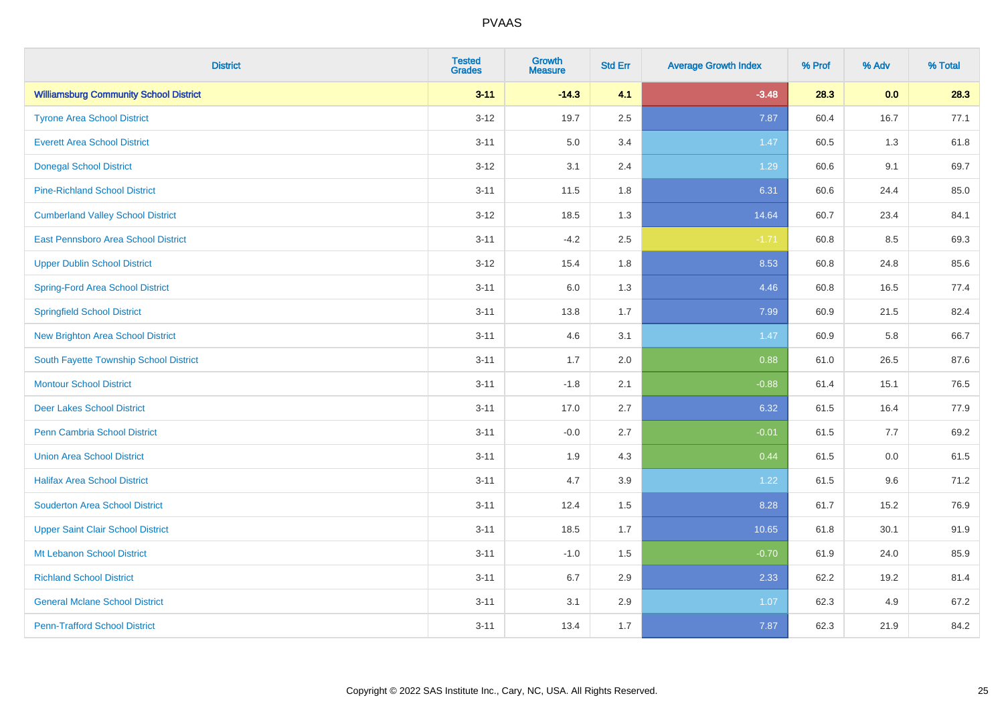| <b>District</b>                               | <b>Tested</b><br><b>Grades</b> | <b>Growth</b><br><b>Measure</b> | <b>Std Err</b> | <b>Average Growth Index</b> | % Prof | % Adv   | % Total |
|-----------------------------------------------|--------------------------------|---------------------------------|----------------|-----------------------------|--------|---------|---------|
| <b>Williamsburg Community School District</b> | $3 - 11$                       | $-14.3$                         | 4.1            | $-3.48$                     | 28.3   | 0.0     | 28.3    |
| <b>Tyrone Area School District</b>            | $3 - 12$                       | 19.7                            | 2.5            | 7.87                        | 60.4   | 16.7    | 77.1    |
| <b>Everett Area School District</b>           | $3 - 11$                       | 5.0                             | 3.4            | 1.47                        | 60.5   | 1.3     | 61.8    |
| <b>Donegal School District</b>                | $3 - 12$                       | 3.1                             | 2.4            | 1.29                        | 60.6   | 9.1     | 69.7    |
| <b>Pine-Richland School District</b>          | $3 - 11$                       | 11.5                            | 1.8            | 6.31                        | 60.6   | 24.4    | 85.0    |
| <b>Cumberland Valley School District</b>      | $3 - 12$                       | 18.5                            | 1.3            | 14.64                       | 60.7   | 23.4    | 84.1    |
| East Pennsboro Area School District           | $3 - 11$                       | $-4.2$                          | 2.5            | $-1.71$                     | 60.8   | 8.5     | 69.3    |
| <b>Upper Dublin School District</b>           | $3 - 12$                       | 15.4                            | 1.8            | 8.53                        | 60.8   | 24.8    | 85.6    |
| Spring-Ford Area School District              | $3 - 11$                       | 6.0                             | 1.3            | 4.46                        | 60.8   | 16.5    | 77.4    |
| <b>Springfield School District</b>            | $3 - 11$                       | 13.8                            | 1.7            | 7.99                        | 60.9   | 21.5    | 82.4    |
| <b>New Brighton Area School District</b>      | $3 - 11$                       | 4.6                             | 3.1            | 1.47                        | 60.9   | 5.8     | 66.7    |
| South Fayette Township School District        | $3 - 11$                       | 1.7                             | 2.0            | 0.88                        | 61.0   | 26.5    | 87.6    |
| <b>Montour School District</b>                | $3 - 11$                       | $-1.8$                          | 2.1            | $-0.88$                     | 61.4   | 15.1    | 76.5    |
| <b>Deer Lakes School District</b>             | $3 - 11$                       | 17.0                            | 2.7            | 6.32                        | 61.5   | 16.4    | 77.9    |
| Penn Cambria School District                  | $3 - 11$                       | $-0.0$                          | 2.7            | $-0.01$                     | 61.5   | 7.7     | 69.2    |
| <b>Union Area School District</b>             | $3 - 11$                       | 1.9                             | 4.3            | 0.44                        | 61.5   | $0.0\,$ | 61.5    |
| <b>Halifax Area School District</b>           | $3 - 11$                       | 4.7                             | 3.9            | 1.22                        | 61.5   | 9.6     | 71.2    |
| <b>Souderton Area School District</b>         | $3 - 11$                       | 12.4                            | 1.5            | 8.28                        | 61.7   | 15.2    | 76.9    |
| <b>Upper Saint Clair School District</b>      | $3 - 11$                       | 18.5                            | 1.7            | 10.65                       | 61.8   | 30.1    | 91.9    |
| Mt Lebanon School District                    | $3 - 11$                       | $-1.0$                          | 1.5            | $-0.70$                     | 61.9   | 24.0    | 85.9    |
| <b>Richland School District</b>               | $3 - 11$                       | 6.7                             | 2.9            | 2.33                        | 62.2   | 19.2    | 81.4    |
| <b>General Mclane School District</b>         | $3 - 11$                       | 3.1                             | 2.9            | 1.07                        | 62.3   | 4.9     | 67.2    |
| <b>Penn-Trafford School District</b>          | $3 - 11$                       | 13.4                            | 1.7            | 7.87                        | 62.3   | 21.9    | 84.2    |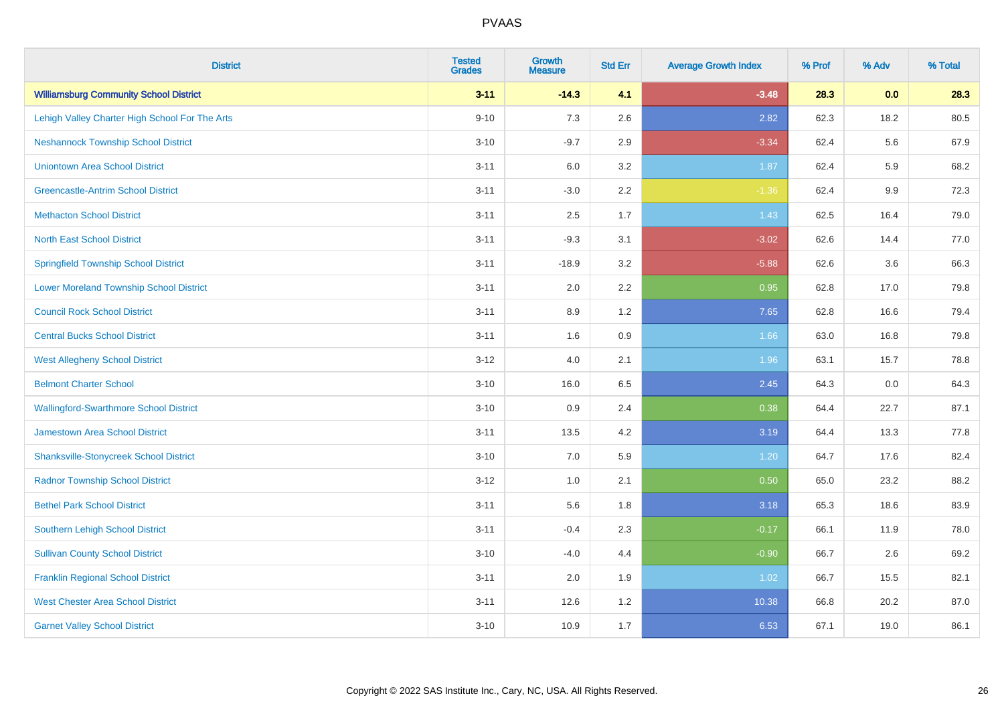| <b>District</b>                                | <b>Tested</b><br><b>Grades</b> | <b>Growth</b><br><b>Measure</b> | <b>Std Err</b> | <b>Average Growth Index</b> | % Prof | % Adv | % Total |
|------------------------------------------------|--------------------------------|---------------------------------|----------------|-----------------------------|--------|-------|---------|
| <b>Williamsburg Community School District</b>  | $3 - 11$                       | $-14.3$                         | 4.1            | $-3.48$                     | 28.3   | 0.0   | 28.3    |
| Lehigh Valley Charter High School For The Arts | $9 - 10$                       | 7.3                             | 2.6            | 2.82                        | 62.3   | 18.2  | 80.5    |
| <b>Neshannock Township School District</b>     | $3 - 10$                       | $-9.7$                          | 2.9            | $-3.34$                     | 62.4   | 5.6   | 67.9    |
| <b>Uniontown Area School District</b>          | $3 - 11$                       | 6.0                             | 3.2            | 1.87                        | 62.4   | 5.9   | 68.2    |
| <b>Greencastle-Antrim School District</b>      | $3 - 11$                       | $-3.0$                          | 2.2            | $-1.36$                     | 62.4   | 9.9   | 72.3    |
| <b>Methacton School District</b>               | $3 - 11$                       | 2.5                             | 1.7            | 1.43                        | 62.5   | 16.4  | 79.0    |
| <b>North East School District</b>              | $3 - 11$                       | $-9.3$                          | 3.1            | $-3.02$                     | 62.6   | 14.4  | 77.0    |
| <b>Springfield Township School District</b>    | $3 - 11$                       | $-18.9$                         | 3.2            | $-5.88$                     | 62.6   | 3.6   | 66.3    |
| <b>Lower Moreland Township School District</b> | $3 - 11$                       | 2.0                             | 2.2            | 0.95                        | 62.8   | 17.0  | 79.8    |
| <b>Council Rock School District</b>            | $3 - 11$                       | 8.9                             | 1.2            | 7.65                        | 62.8   | 16.6  | 79.4    |
| <b>Central Bucks School District</b>           | $3 - 11$                       | 1.6                             | 0.9            | 1.66                        | 63.0   | 16.8  | 79.8    |
| <b>West Allegheny School District</b>          | $3 - 12$                       | 4.0                             | 2.1            | 1.96                        | 63.1   | 15.7  | 78.8    |
| <b>Belmont Charter School</b>                  | $3 - 10$                       | 16.0                            | 6.5            | 2.45                        | 64.3   | 0.0   | 64.3    |
| <b>Wallingford-Swarthmore School District</b>  | $3 - 10$                       | 0.9                             | 2.4            | 0.38                        | 64.4   | 22.7  | 87.1    |
| <b>Jamestown Area School District</b>          | $3 - 11$                       | 13.5                            | 4.2            | 3.19                        | 64.4   | 13.3  | 77.8    |
| <b>Shanksville-Stonycreek School District</b>  | $3 - 10$                       | 7.0                             | 5.9            | 1.20                        | 64.7   | 17.6  | 82.4    |
| <b>Radnor Township School District</b>         | $3 - 12$                       | 1.0                             | 2.1            | 0.50                        | 65.0   | 23.2  | 88.2    |
| <b>Bethel Park School District</b>             | $3 - 11$                       | 5.6                             | 1.8            | 3.18                        | 65.3   | 18.6  | 83.9    |
| <b>Southern Lehigh School District</b>         | $3 - 11$                       | $-0.4$                          | 2.3            | $-0.17$                     | 66.1   | 11.9  | 78.0    |
| <b>Sullivan County School District</b>         | $3 - 10$                       | $-4.0$                          | 4.4            | $-0.90$                     | 66.7   | 2.6   | 69.2    |
| <b>Franklin Regional School District</b>       | $3 - 11$                       | 2.0                             | 1.9            | 1.02                        | 66.7   | 15.5  | 82.1    |
| <b>West Chester Area School District</b>       | $3 - 11$                       | 12.6                            | 1.2            | 10.38                       | 66.8   | 20.2  | 87.0    |
| <b>Garnet Valley School District</b>           | $3 - 10$                       | 10.9                            | 1.7            | 6.53                        | 67.1   | 19.0  | 86.1    |